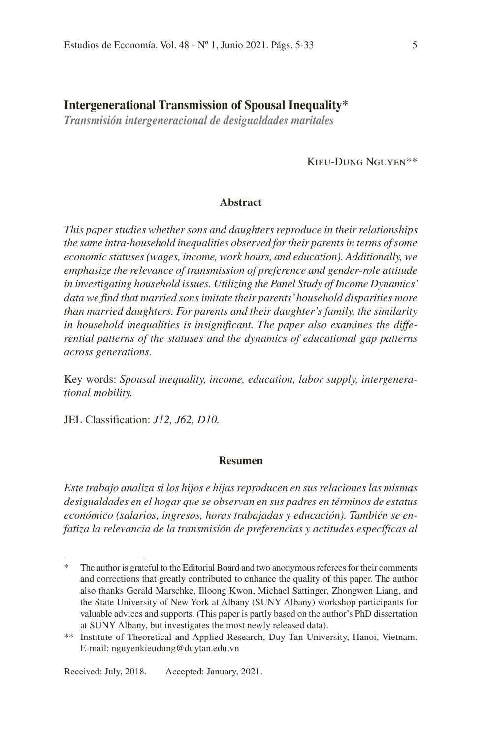## **Intergenerational Transmission of Spousal Inequality\***

*Transmisión intergeneracional de desigualdades maritales*

Kieu-Dung Nguyen\*\*

## **Abstract**

*This paper studies whether sons and daughters reproduce in their relationships the same intra-household inequalities observed for their parents in terms of some economic statuses (wages, income, work hours, and education). Additionally, we emphasize the relevance of transmission of preference and gender-role attitude in investigating household issues. Utilizing the Panel Study of Income Dynamics' data we find that married sons imitate their parents' household disparities more than married daughters. For parents and their daughter's family, the similarity in household inequalities is insignificant. The paper also examines the differential patterns of the statuses and the dynamics of educational gap patterns across generations.* 

Key words: *Spousal inequality, income, education, labor supply, intergenerational mobility.*

JEL Classification: *J12, J62, D10.*

## **Resumen**

*Este trabajo analiza si los hijos e hijas reproducen en sus relaciones las mismas desigualdades en el hogar que se observan en sus padres en términos de estatus económico (salarios, ingresos, horas trabajadas y educación). También se enfatiza la relevancia de la transmisión de preferencias y actitudes específicas al* 

The author is grateful to the Editorial Board and two anonymous referees for their comments and corrections that greatly contributed to enhance the quality of this paper. The author also thanks Gerald Marschke, Illoong Kwon, Michael Sattinger, Zhongwen Liang, and the State University of New York at Albany (SUNY Albany) workshop participants for valuable advices and supports. (This paper is partly based on the author's PhD dissertation at SUNY Albany, but investigates the most newly released data).

<sup>\*\*</sup> Institute of Theoretical and Applied Research, Duy Tan University, Hanoi, Vietnam. E-mail: nguyenkieudung@duytan.edu.vn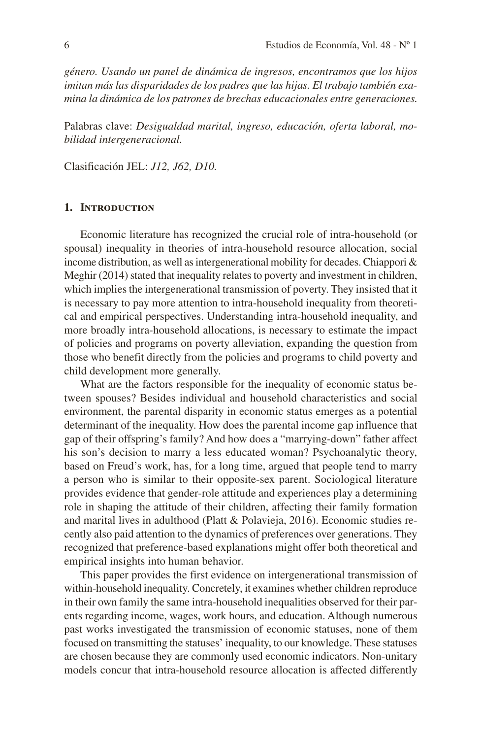*género. Usando un panel de dinámica de ingresos, encontramos que los hijos imitan más las disparidades de los padres que las hijas. El trabajo también examina la dinámica de los patrones de brechas educacionales entre generaciones.* 

Palabras clave: *Desigualdad marital, ingreso, educación, oferta laboral, mobilidad intergeneracional.*

Clasificación JEL: *J12, J62, D10.*

## **1. Introduction**

Economic literature has recognized the crucial role of intra-household (or spousal) inequality in theories of intra-household resource allocation, social income distribution, as well as intergenerational mobility for decades. Chiappori & Meghir (2014) stated that inequality relates to poverty and investment in children, which implies the intergenerational transmission of poverty. They insisted that it is necessary to pay more attention to intra-household inequality from theoretical and empirical perspectives. Understanding intra-household inequality, and more broadly intra-household allocations, is necessary to estimate the impact of policies and programs on poverty alleviation, expanding the question from those who benefit directly from the policies and programs to child poverty and child development more generally.

What are the factors responsible for the inequality of economic status between spouses? Besides individual and household characteristics and social environment, the parental disparity in economic status emerges as a potential determinant of the inequality. How does the parental income gap influence that gap of their offspring's family? And how does a "marrying-down" father affect his son's decision to marry a less educated woman? Psychoanalytic theory, based on Freud's work, has, for a long time, argued that people tend to marry a person who is similar to their opposite-sex parent. Sociological literature provides evidence that gender-role attitude and experiences play a determining role in shaping the attitude of their children, affecting their family formation and marital lives in adulthood (Platt & Polavieja, 2016). Economic studies recently also paid attention to the dynamics of preferences over generations. They recognized that preference-based explanations might offer both theoretical and empirical insights into human behavior.

This paper provides the first evidence on intergenerational transmission of within-household inequality. Concretely, it examines whether children reproduce in their own family the same intra-household inequalities observed for their parents regarding income, wages, work hours, and education. Although numerous past works investigated the transmission of economic statuses, none of them focused on transmitting the statuses' inequality, to our knowledge. These statuses are chosen because they are commonly used economic indicators. Non-unitary models concur that intra-household resource allocation is affected differently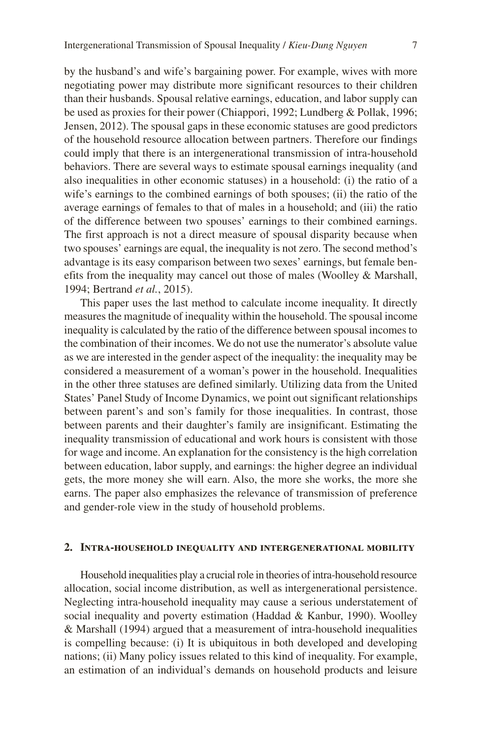by the husband's and wife's bargaining power. For example, wives with more negotiating power may distribute more significant resources to their children than their husbands. Spousal relative earnings, education, and labor supply can be used as proxies for their power (Chiappori, 1992; Lundberg & Pollak, 1996; Jensen, 2012). The spousal gaps in these economic statuses are good predictors of the household resource allocation between partners. Therefore our findings could imply that there is an intergenerational transmission of intra-household behaviors. There are several ways to estimate spousal earnings inequality (and also inequalities in other economic statuses) in a household: (i) the ratio of a wife's earnings to the combined earnings of both spouses; (ii) the ratio of the average earnings of females to that of males in a household; and (iii) the ratio of the difference between two spouses' earnings to their combined earnings. The first approach is not a direct measure of spousal disparity because when two spouses' earnings are equal, the inequality is not zero. The second method's advantage is its easy comparison between two sexes' earnings, but female benefits from the inequality may cancel out those of males (Woolley & Marshall, 1994; Bertrand *et al.*, 2015).

This paper uses the last method to calculate income inequality. It directly measures the magnitude of inequality within the household. The spousal income inequality is calculated by the ratio of the difference between spousal incomes to the combination of their incomes. We do not use the numerator's absolute value as we are interested in the gender aspect of the inequality: the inequality may be considered a measurement of a woman's power in the household. Inequalities in the other three statuses are defined similarly. Utilizing data from the United States' Panel Study of Income Dynamics, we point out significant relationships between parent's and son's family for those inequalities. In contrast, those between parents and their daughter's family are insignificant. Estimating the inequality transmission of educational and work hours is consistent with those for wage and income. An explanation for the consistency is the high correlation between education, labor supply, and earnings: the higher degree an individual gets, the more money she will earn. Also, the more she works, the more she earns. The paper also emphasizes the relevance of transmission of preference and gender-role view in the study of household problems.

#### **2. Intra-household inequality and intergenerational mobility**

Household inequalities play a crucial role in theories of intra-household resource allocation, social income distribution, as well as intergenerational persistence. Neglecting intra-household inequality may cause a serious understatement of social inequality and poverty estimation (Haddad & Kanbur, 1990). Woolley & Marshall (1994) argued that a measurement of intra-household inequalities is compelling because: (i) It is ubiquitous in both developed and developing nations; (ii) Many policy issues related to this kind of inequality. For example, an estimation of an individual's demands on household products and leisure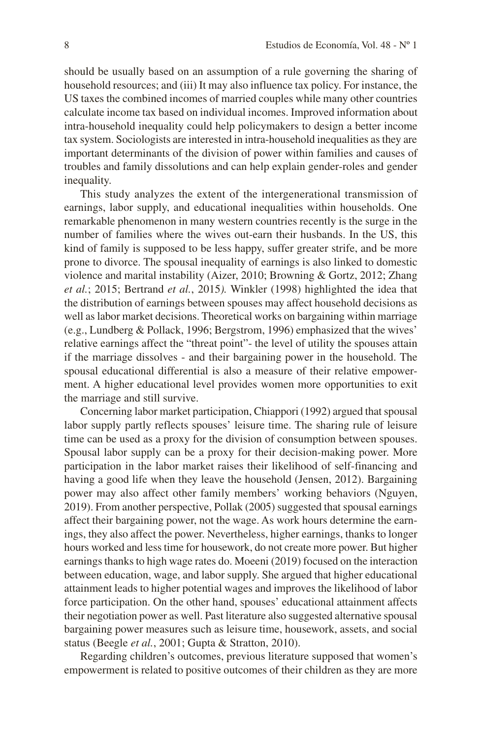should be usually based on an assumption of a rule governing the sharing of household resources; and (iii) It may also influence tax policy. For instance, the US taxes the combined incomes of married couples while many other countries calculate income tax based on individual incomes. Improved information about intra-household inequality could help policymakers to design a better income tax system. Sociologists are interested in intra-household inequalities as they are important determinants of the division of power within families and causes of troubles and family dissolutions and can help explain gender-roles and gender inequality.

This study analyzes the extent of the intergenerational transmission of earnings, labor supply, and educational inequalities within households. One remarkable phenomenon in many western countries recently is the surge in the number of families where the wives out-earn their husbands. In the US, this kind of family is supposed to be less happy, suffer greater strife, and be more prone to divorce. The spousal inequality of earnings is also linked to domestic violence and marital instability (Aizer, 2010; Browning & Gortz, 2012; Zhang *et al.*; 2015; Bertrand *et al.*, 2015*).* Winkler (1998) highlighted the idea that the distribution of earnings between spouses may affect household decisions as well as labor market decisions. Theoretical works on bargaining within marriage (e.g., Lundberg & Pollack, 1996; Bergstrom, 1996) emphasized that the wives' relative earnings affect the "threat point"- the level of utility the spouses attain if the marriage dissolves - and their bargaining power in the household. The spousal educational differential is also a measure of their relative empowerment. A higher educational level provides women more opportunities to exit the marriage and still survive.

Concerning labor market participation, Chiappori (1992) argued that spousal labor supply partly reflects spouses' leisure time. The sharing rule of leisure time can be used as a proxy for the division of consumption between spouses. Spousal labor supply can be a proxy for their decision-making power. More participation in the labor market raises their likelihood of self-financing and having a good life when they leave the household (Jensen, 2012). Bargaining power may also affect other family members' working behaviors (Nguyen, 2019). From another perspective, Pollak (2005) suggested that spousal earnings affect their bargaining power, not the wage. As work hours determine the earnings, they also affect the power. Nevertheless, higher earnings, thanks to longer hours worked and less time for housework, do not create more power. But higher earnings thanks to high wage rates do. Moeeni (2019) focused on the interaction between education, wage, and labor supply. She argued that higher educational attainment leads to higher potential wages and improves the likelihood of labor force participation. On the other hand, spouses' educational attainment affects their negotiation power as well. Past literature also suggested alternative spousal bargaining power measures such as leisure time, housework, assets, and social status (Beegle *et al.*, 2001; Gupta & Stratton, 2010).

Regarding children's outcomes, previous literature supposed that women's empowerment is related to positive outcomes of their children as they are more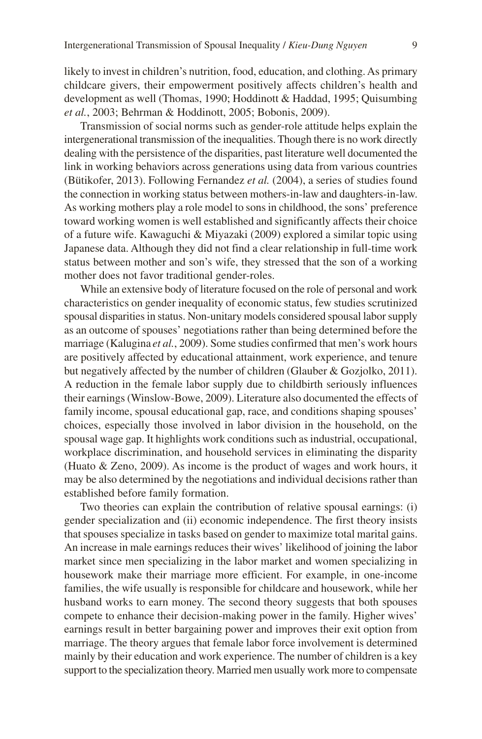likely to invest in children's nutrition, food, education, and clothing. As primary childcare givers, their empowerment positively affects children's health and development as well (Thomas, 1990; Hoddinott & Haddad, 1995; Quisumbing *et al.*, 2003; Behrman & Hoddinott, 2005; Bobonis, 2009).

Transmission of social norms such as gender-role attitude helps explain the intergenerational transmission of the inequalities. Though there is no work directly dealing with the persistence of the disparities, past literature well documented the link in working behaviors across generations using data from various countries (Bütikofer, 2013). Following Fernandez *et al.* (2004), a series of studies found the connection in working status between mothers-in-law and daughters-in-law. As working mothers play a role model to sons in childhood, the sons' preference toward working women is well established and significantly affects their choice of a future wife. Kawaguchi & Miyazaki (2009) explored a similar topic using Japanese data. Although they did not find a clear relationship in full-time work status between mother and son's wife, they stressed that the son of a working mother does not favor traditional gender-roles.

While an extensive body of literature focused on the role of personal and work characteristics on gender inequality of economic status, few studies scrutinized spousal disparities in status. Non-unitary models considered spousal labor supply as an outcome of spouses' negotiations rather than being determined before the marriage (Kalugina *et al.*, 2009). Some studies confirmed that men's work hours are positively affected by educational attainment, work experience, and tenure but negatively affected by the number of children (Glauber & Gozjolko, 2011). A reduction in the female labor supply due to childbirth seriously influences their earnings (Winslow-Bowe, 2009). Literature also documented the effects of family income, spousal educational gap, race, and conditions shaping spouses' choices, especially those involved in labor division in the household, on the spousal wage gap. It highlights work conditions such as industrial, occupational, workplace discrimination, and household services in eliminating the disparity (Huato & Zeno, 2009). As income is the product of wages and work hours, it may be also determined by the negotiations and individual decisions rather than established before family formation.

Two theories can explain the contribution of relative spousal earnings: (i) gender specialization and (ii) economic independence. The first theory insists that spouses specialize in tasks based on gender to maximize total marital gains. An increase in male earnings reduces their wives' likelihood of joining the labor market since men specializing in the labor market and women specializing in housework make their marriage more efficient. For example, in one-income families, the wife usually is responsible for childcare and housework, while her husband works to earn money. The second theory suggests that both spouses compete to enhance their decision-making power in the family. Higher wives' earnings result in better bargaining power and improves their exit option from marriage. The theory argues that female labor force involvement is determined mainly by their education and work experience. The number of children is a key support to the specialization theory. Married men usually work more to compensate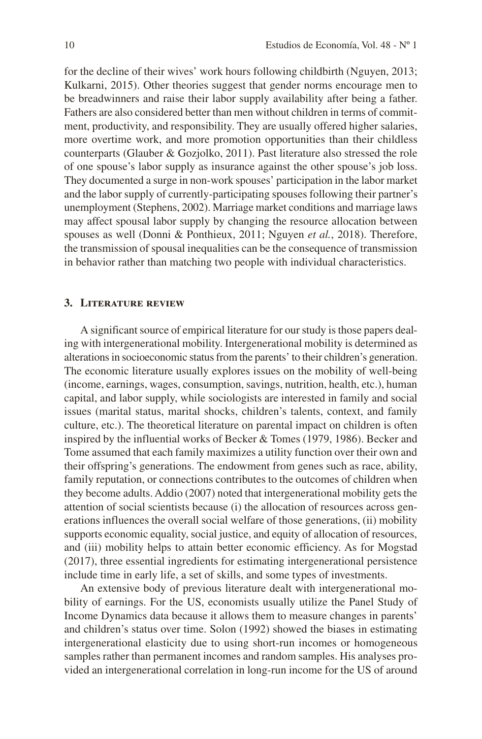for the decline of their wives' work hours following childbirth (Nguyen, 2013; Kulkarni, 2015). Other theories suggest that gender norms encourage men to be breadwinners and raise their labor supply availability after being a father. Fathers are also considered better than men without children in terms of commitment, productivity, and responsibility. They are usually offered higher salaries, more overtime work, and more promotion opportunities than their childless counterparts (Glauber & Gozjolko, 2011). Past literature also stressed the role of one spouse's labor supply as insurance against the other spouse's job loss. They documented a surge in non-work spouses' participation in the labor market and the labor supply of currently-participating spouses following their partner's unemployment (Stephens, 2002). Marriage market conditions and marriage laws may affect spousal labor supply by changing the resource allocation between spouses as well (Donni & Ponthieux, 2011; Nguyen *et al.*, 2018). Therefore, the transmission of spousal inequalities can be the consequence of transmission in behavior rather than matching two people with individual characteristics.

#### **3. Literature review**

A significant source of empirical literature for our study is those papers dealing with intergenerational mobility. Intergenerational mobility is determined as alterations in socioeconomic status from the parents' to their children's generation. The economic literature usually explores issues on the mobility of well-being (income, earnings, wages, consumption, savings, nutrition, health, etc.), human capital, and labor supply, while sociologists are interested in family and social issues (marital status, marital shocks, children's talents, context, and family culture, etc.). The theoretical literature on parental impact on children is often inspired by the influential works of Becker & Tomes (1979, 1986). Becker and Tome assumed that each family maximizes a utility function over their own and their offspring's generations. The endowment from genes such as race, ability, family reputation, or connections contributes to the outcomes of children when they become adults. Addio (2007) noted that intergenerational mobility gets the attention of social scientists because (i) the allocation of resources across generations influences the overall social welfare of those generations, (ii) mobility supports economic equality, social justice, and equity of allocation of resources, and (iii) mobility helps to attain better economic efficiency. As for Mogstad (2017), three essential ingredients for estimating intergenerational persistence include time in early life, a set of skills, and some types of investments.

An extensive body of previous literature dealt with intergenerational mobility of earnings. For the US, economists usually utilize the Panel Study of Income Dynamics data because it allows them to measure changes in parents' and children's status over time. Solon (1992) showed the biases in estimating intergenerational elasticity due to using short-run incomes or homogeneous samples rather than permanent incomes and random samples. His analyses provided an intergenerational correlation in long-run income for the US of around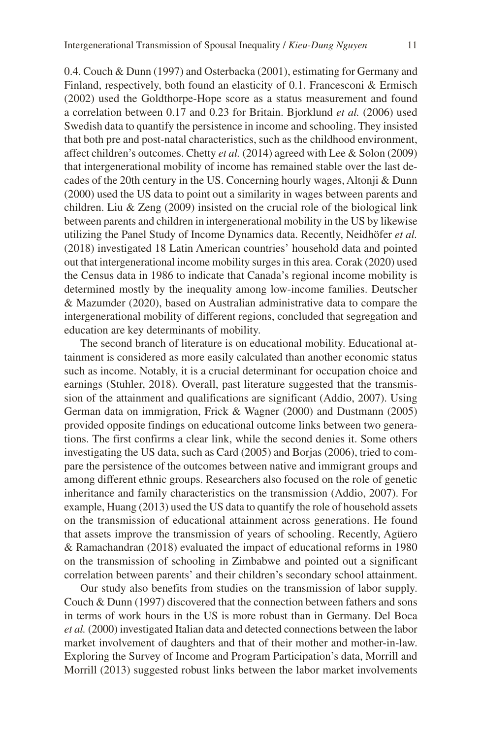0.4. Couch & Dunn (1997) and Osterbacka (2001), estimating for Germany and Finland, respectively, both found an elasticity of 0.1. Francesconi & Ermisch (2002) used the Goldthorpe-Hope score as a status measurement and found a correlation between 0.17 and 0.23 for Britain. Bjorklund *et al.* (2006) used Swedish data to quantify the persistence in income and schooling. They insisted that both pre and post-natal characteristics, such as the childhood environment, affect children's outcomes. Chetty *et al.* (2014) agreed with Lee & Solon (2009) that intergenerational mobility of income has remained stable over the last decades of the 20th century in the US. Concerning hourly wages, Altonji & Dunn (2000) used the US data to point out a similarity in wages between parents and children. Liu & Zeng (2009) insisted on the crucial role of the biological link between parents and children in intergenerational mobility in the US by likewise utilizing the Panel Study of Income Dynamics data. Recently, Neidhöfer *et al.* (2018) investigated 18 Latin American countries' household data and pointed out that intergenerational income mobility surges in this area. Corak (2020) used the Census data in 1986 to indicate that Canada's regional income mobility is determined mostly by the inequality among low-income families. Deutscher & Mazumder (2020), based on Australian administrative data to compare the intergenerational mobility of different regions, concluded that segregation and education are key determinants of mobility.

The second branch of literature is on educational mobility. Educational attainment is considered as more easily calculated than another economic status such as income. Notably, it is a crucial determinant for occupation choice and earnings (Stuhler, 2018). Overall, past literature suggested that the transmission of the attainment and qualifications are significant (Addio, 2007). Using German data on immigration, Frick & Wagner (2000) and Dustmann (2005) provided opposite findings on educational outcome links between two generations. The first confirms a clear link, while the second denies it. Some others investigating the US data, such as Card (2005) and Borjas (2006), tried to compare the persistence of the outcomes between native and immigrant groups and among different ethnic groups. Researchers also focused on the role of genetic inheritance and family characteristics on the transmission (Addio, 2007). For example, Huang (2013) used the US data to quantify the role of household assets on the transmission of educational attainment across generations. He found that assets improve the transmission of years of schooling. Recently, Agüero & Ramachandran (2018) evaluated the impact of educational reforms in 1980 on the transmission of schooling in Zimbabwe and pointed out a significant correlation between parents' and their children's secondary school attainment.

Our study also benefits from studies on the transmission of labor supply. Couch & Dunn (1997) discovered that the connection between fathers and sons in terms of work hours in the US is more robust than in Germany. Del Boca *et al.* (2000) investigated Italian data and detected connections between the labor market involvement of daughters and that of their mother and mother-in-law. Exploring the Survey of Income and Program Participation's data, Morrill and Morrill (2013) suggested robust links between the labor market involvements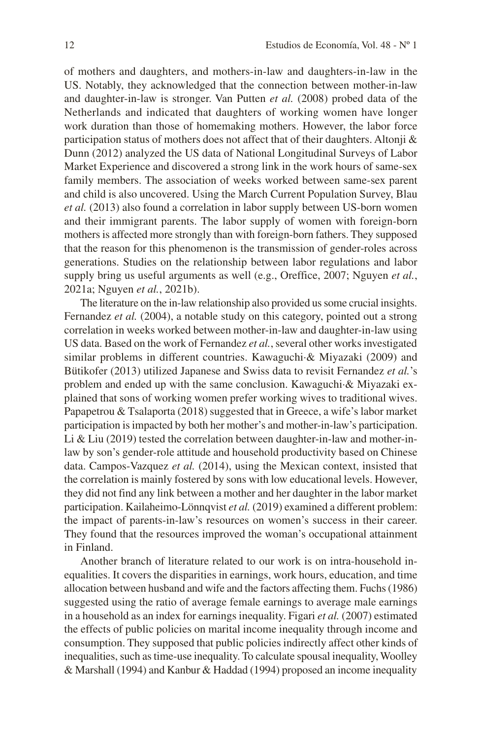of mothers and daughters, and mothers-in-law and daughters-in-law in the US. Notably, they acknowledged that the connection between mother-in-law and daughter-in-law is stronger. Van Putten *et al.* (2008) probed data of the Netherlands and indicated that daughters of working women have longer work duration than those of homemaking mothers. However, the labor force participation status of mothers does not affect that of their daughters. Altonji  $\&$ Dunn (2012) analyzed the US data of National Longitudinal Surveys of Labor Market Experience and discovered a strong link in the work hours of same-sex family members. The association of weeks worked between same-sex parent and child is also uncovered. Using the March Current Population Survey, Blau *et al.* (2013) also found a correlation in labor supply between US-born women and their immigrant parents. The labor supply of women with foreign-born mothers is affected more strongly than with foreign-born fathers. They supposed that the reason for this phenomenon is the transmission of gender-roles across generations. Studies on the relationship between labor regulations and labor supply bring us useful arguments as well (e.g., Oreffice, 2007; Nguyen *et al.*, 2021a; Nguyen *et al.*, 2021b).

The literature on the in-law relationship also provided us some crucial insights. Fernandez *et al.* (2004), a notable study on this category, pointed out a strong correlation in weeks worked between mother-in-law and daughter-in-law using US data. Based on the work of Fernandez *et al.*, several other works investigated similar problems in different countries. Kawaguchi·& Miyazaki (2009) and Bütikofer (2013) utilized Japanese and Swiss data to revisit Fernandez *et al.*'s problem and ended up with the same conclusion. Kawaguchi·& Miyazaki explained that sons of working women prefer working wives to traditional wives. Papapetrou & Tsalaporta (2018) suggested that in Greece, a wife's labor market participation is impacted by both her mother's and mother-in-law's participation. Li & Liu (2019) tested the correlation between daughter-in-law and mother-inlaw by son's gender-role attitude and household productivity based on Chinese data. Campos-Vazquez *et al.* (2014), using the Mexican context, insisted that the correlation is mainly fostered by sons with low educational levels. However, they did not find any link between a mother and her daughter in the labor market participation. Kailaheimo-Lönnqvist *et al.* (2019) examined a different problem: the impact of parents-in-law's resources on women's success in their career. They found that the resources improved the woman's occupational attainment in Finland.

Another branch of literature related to our work is on intra-household inequalities. It covers the disparities in earnings, work hours, education, and time allocation between husband and wife and the factors affecting them. Fuchs (1986) suggested using the ratio of average female earnings to average male earnings in a household as an index for earnings inequality. Figari *et al.* (2007) estimated the effects of public policies on marital income inequality through income and consumption. They supposed that public policies indirectly affect other kinds of inequalities, such as time-use inequality. To calculate spousal inequality, Woolley & Marshall (1994) and Kanbur & Haddad (1994) proposed an income inequality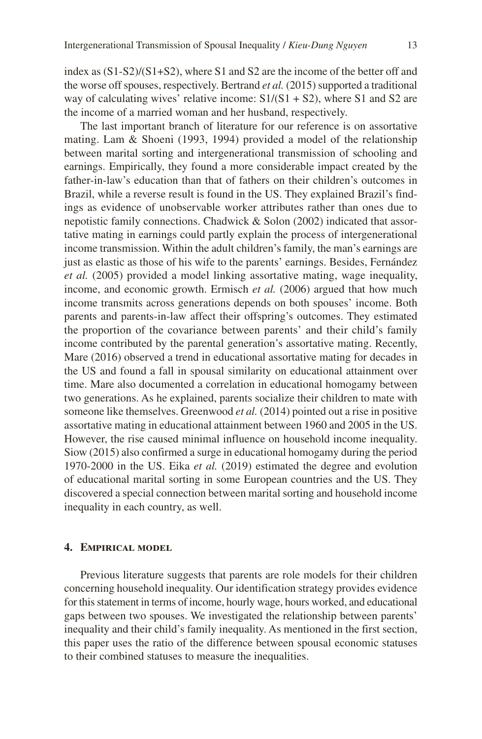index as (S1-S2)/(S1+S2), where S1 and S2 are the income of the better off and the worse off spouses, respectively. Bertrand *et al.* (2015) supported a traditional way of calculating wives' relative income:  $S1/(S1 + S2)$ , where S1 and S2 are the income of a married woman and her husband, respectively.

The last important branch of literature for our reference is on assortative mating. Lam & Shoeni (1993, 1994) provided a model of the relationship between marital sorting and intergenerational transmission of schooling and earnings. Empirically, they found a more considerable impact created by the father-in-law's education than that of fathers on their children's outcomes in Brazil, while a reverse result is found in the US. They explained Brazil's findings as evidence of unobservable worker attributes rather than ones due to nepotistic family connections. Chadwick & Solon (2002) indicated that assortative mating in earnings could partly explain the process of intergenerational income transmission. Within the adult children's family, the man's earnings are just as elastic as those of his wife to the parents' earnings. Besides, Fernández *et al.* (2005) provided a model linking assortative mating, wage inequality, income, and economic growth. Ermisch *et al.* (2006) argued that how much income transmits across generations depends on both spouses' income. Both parents and parents-in-law affect their offspring's outcomes. They estimated the proportion of the covariance between parents' and their child's family income contributed by the parental generation's assortative mating. Recently, Mare (2016) observed a trend in educational assortative mating for decades in the US and found a fall in spousal similarity on educational attainment over time. Mare also documented a correlation in educational homogamy between two generations. As he explained, parents socialize their children to mate with someone like themselves. Greenwood *et al.* (2014) pointed out a rise in positive assortative mating in educational attainment between 1960 and 2005 in the US. However, the rise caused minimal influence on household income inequality. Siow (2015) also confirmed a surge in educational homogamy during the period 1970-2000 in the US. Eika *et al.* (2019) estimated the degree and evolution of educational marital sorting in some European countries and the US. They discovered a special connection between marital sorting and household income inequality in each country, as well.

#### **4. Empirical model**

Previous literature suggests that parents are role models for their children concerning household inequality. Our identification strategy provides evidence for this statement in terms of income, hourly wage, hours worked, and educational gaps between two spouses. We investigated the relationship between parents' inequality and their child's family inequality. As mentioned in the first section, this paper uses the ratio of the difference between spousal economic statuses to their combined statuses to measure the inequalities.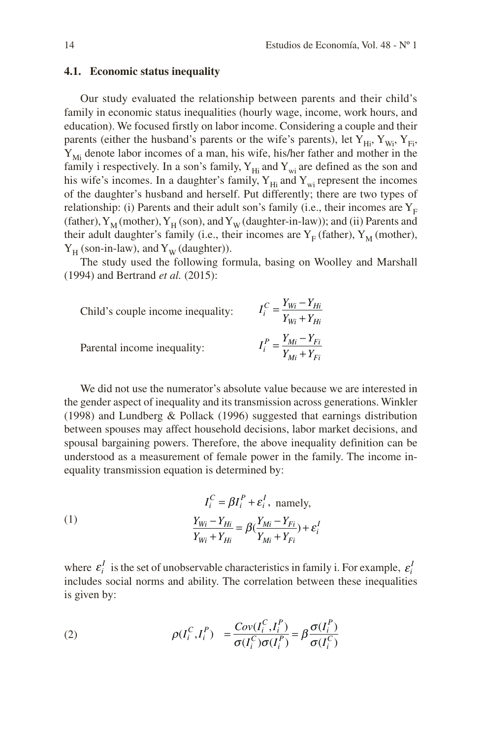### **4.1. Economic status inequality**

Our study evaluated the relationship between parents and their child's family in economic status inequalities (hourly wage, income, work hours, and education). We focused firstly on labor income. Considering a couple and their parents (either the husband's parents or the wife's parents), let  $Y_{Hi}$ ,  $Y_{Wi}$ ,  $Y_{Fi}$ ,  $Y_{\text{Mi}}$  denote labor incomes of a man, his wife, his/her father and mother in the family i respectively. In a son's family,  $Y_{Hi}$  and  $Y_{wi}$  are defined as the son and his wife's incomes. In a daughter's family,  $Y_{Hi}$  and  $Y_{wi}$  represent the incomes of the daughter's husband and herself. Put differently; there are two types of relationship: (i) Parents and their adult son's family (i.e., their incomes are  $Y_F$ (father),  $Y_M$  (mother),  $Y_H$  (son), and  $Y_W$  (daughter-in-law)); and (ii) Parents and their adult daughter's family (i.e., their incomes are  $Y_F$  (father),  $Y_M$  (mother),  $Y_H$  (son-in-law), and  $Y_W$  (daughter)).

The study used the following formula, basing on Woolley and Marshall (1994) and Bertrand *et al.* (2015):

Child's couple income inequality: 
$$
I_i^C = \frac{Y_{Wi} - Y_{Hi}}{Y_{Wi} + Y_{Hi}}
$$
  
Parental income inequality:  $I_i^P = \frac{Y_{Mi} - Y_{Fi}}{Y_{Mi} + Y_{Fi}}$ 

We did not use the numerator's absolute value because we are interested in the gender aspect of inequality and its transmission across generations. Winkler (1998) and Lundberg & Pollack (1996) suggested that earnings distribution between spouses may affect household decisions, labor market decisions, and spousal bargaining powers. Therefore, the above inequality definition can be understood as a measurement of female power in the family. The income inequality transmission equation is determined by:

(1) 
$$
I_i^C = \beta I_i^P + \varepsilon_i^I, \text{ namely,}
$$

$$
\frac{Y_{Wi} - Y_{Hi}}{Y_{Wi} + Y_{Hi}} = \beta(\frac{Y_{Mi} - Y_{Fi}}{Y_{Mi} + Y_{Fi}}) + \varepsilon_i^I
$$

where  $\varepsilon_i^I$  is the set of unobservable characteristics in family i. For example,  $\varepsilon_i^I$ includes social norms and ability. The correlation between these inequalities is given by:

(2) 
$$
\rho(I_i^C, I_i^P) = \frac{Cov(I_i^C, I_i^P)}{\sigma(I_i^C)\sigma(I_i^P)} = \beta \frac{\sigma(I_i^P)}{\sigma(I_i^C)}
$$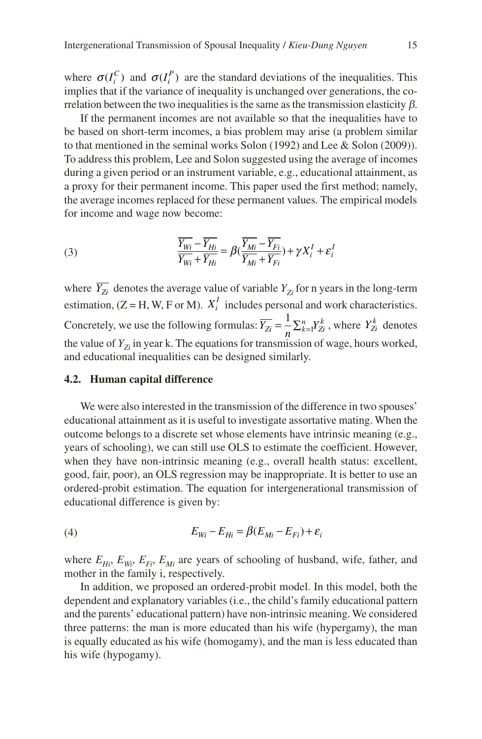where  $\sigma(I_i^C)$  and  $\sigma(I_i^P)$  are the standard deviations of the inequalities. This implies that if the variance of inequality is unchanged over generations, the correlation between the two inequalities is the same as the transmission elasticity  $\beta$ .

If the permanent incomes are not available so that the inequalities have to be based on short-term incomes, a bias problem may arise (a problem similar to that mentioned in the seminal works Solon (1992) and Lee & Solon (2009)). To address this problem, Lee and Solon suggested using the average of incomes during a given period or an instrument variable, e.g., educational attainment, as a proxy for their permanent income. This paper used the first method; namely, the average incomes replaced for these permanent values. The empirical models for income and wage now become:

(3) 
$$
\frac{\overline{Y_{Wi}} - \overline{Y_{Hi}}}{\overline{Y_{Wi}} + \overline{Y_{Hi}}} = \beta(\frac{\overline{Y_{Mi}} - \overline{Y_{Fi}}}{\overline{Y_{Mi}} + \overline{Y_{Fi}}}) + \gamma X_i^I + \varepsilon_i^I
$$

where  $\overline{Y_{Zi}}$  denotes the average value of variable  $Y_{Zi}$  for n years in the long-term estimation,  $(Z = H, W, F \text{ or } M)$ .  $X_i^I$  includes personal and work characteristics. Concretely, we use the following formulas:  $\overline{Y_{Zi}} = \frac{1}{n} \sum_{k=1}^{n} Y_{Zi}^{k}$ , where  $Y_{Zi}^{k}$  denotes the value of  $Y_{\tau_i}$  in year k. The equations for transmission of wage, hours worked, and educational inequalities can be designed similarly.

#### **4.2. Human capital difference**

We were also interested in the transmission of the difference in two spouses' educational attainment as it is useful to investigate assortative mating. When the outcome belongs to a discrete set whose elements have intrinsic meaning (e.g., years of schooling), we can still use OLS to estimate the coefficient. However, when they have non-intrinsic meaning (e.g., overall health status: excellent, good, fair, poor), an OLS regression may be inappropriate. It is better to use an ordered-probit estimation. The equation for intergenerational transmission of educational difference is given by:

$$
(4) \tE_{Wi} - E_{Hi} = \beta (E_{Mi} - E_{Fi}) + \varepsilon_i
$$

where  $E_{Hi}$ ,  $E_{Wi}$ ,  $E_{Fi}$ ,  $E_{Mi}$  are years of schooling of husband, wife, father, and mother in the family i, respectively.

In addition, we proposed an ordered-probit model. In this model, both the dependent and explanatory variables (i.e., the child's family educational pattern and the parents' educational pattern) have non-intrinsic meaning. We considered three patterns: the man is more educated than his wife (hypergamy), the man is equally educated as his wife (homogamy), and the man is less educated than his wife (hypogamy).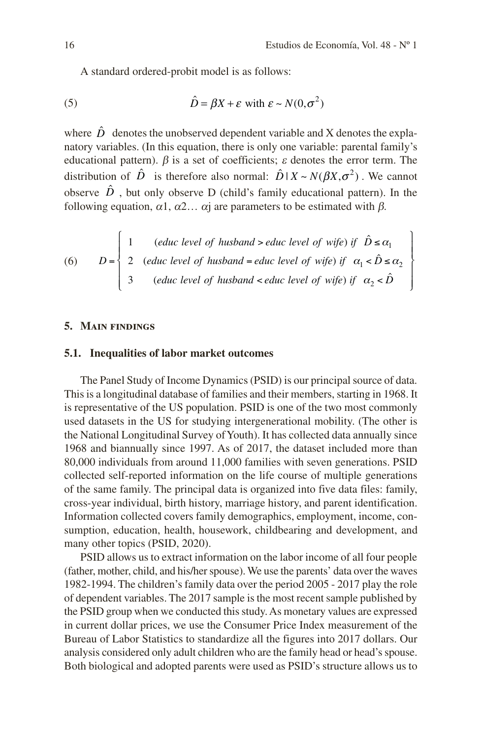A standard ordered-probit model is as follows:

(5) 
$$
\hat{D} = \beta X + \varepsilon \text{ with } \varepsilon \sim N(0, \sigma^2)
$$

where  $\hat{D}$  denotes the unobserved dependent variable and X denotes the explanatory variables. (In this equation, there is only one variable: parental family's educational pattern).  $\beta$  is a set of coefficients;  $\varepsilon$  denotes the error term. The distribution of  $\hat{D}$  is therefore also normal:  $\hat{D} | X \sim N(\beta X, \sigma^2)$ . We cannot observe  $\hat{D}$ , but only observe D (child's family educational pattern). In the following equation,  $\alpha$ 1,  $\alpha$ 2...  $\alpha$  are parameters to be estimated with  $\beta$ .

(6) 
$$
D = \begin{cases} 1 & (educ level of husband > educ level of wife) \text{ if } \hat{D} \le \alpha_1 \\ 2 & (educ level of husband = educ level of wife) \text{ if } \alpha_1 < \hat{D} \le \alpha_2 \\ 3 & (educ level of husband < educ level of wife) \text{ if } \alpha_2 < \hat{D} \end{cases}
$$

#### **5. Main findings**

#### **5.1. Inequalities of labor market outcomes**

The Panel Study of Income Dynamics (PSID) is our principal source of data. This is a longitudinal database of families and their members, starting in 1968. It is representative of the US population. PSID is one of the two most commonly used datasets in the US for studying intergenerational mobility. (The other is the National Longitudinal Survey of Youth). It has collected data annually since 1968 and biannually since 1997. As of 2017, the dataset included more than 80,000 individuals from around 11,000 families with seven generations. PSID collected self-reported information on the life course of multiple generations of the same family. The principal data is organized into five data files: family, cross-year individual, birth history, marriage history, and parent identification. Information collected covers family demographics, employment, income, consumption, education, health, housework, childbearing and development, and many other topics (PSID, 2020).

PSID allows us to extract information on the labor income of all four people (father, mother, child, and his/her spouse). We use the parents' data over the waves 1982-1994. The children's family data over the period 2005 - 2017 play the role of dependent variables. The 2017 sample is the most recent sample published by the PSID group when we conducted this study. As monetary values are expressed in current dollar prices, we use the Consumer Price Index measurement of the Bureau of Labor Statistics to standardize all the figures into 2017 dollars. Our analysis considered only adult children who are the family head or head's spouse. Both biological and adopted parents were used as PSID's structure allows us to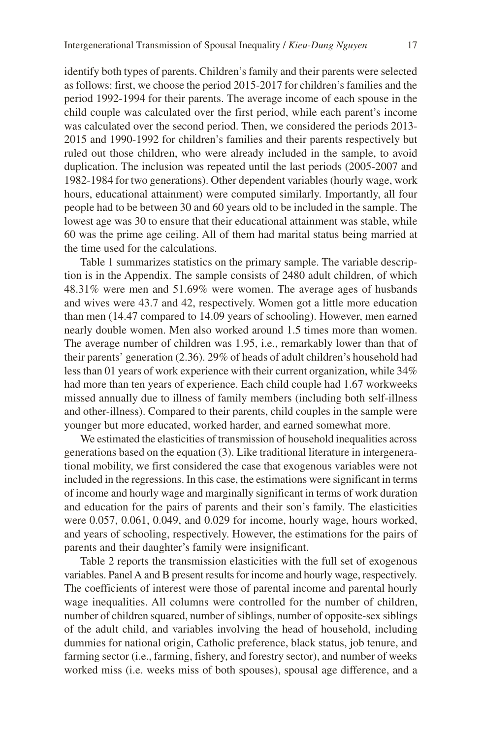identify both types of parents. Children's family and their parents were selected as follows: first, we choose the period 2015-2017 for children's families and the period 1992-1994 for their parents. The average income of each spouse in the child couple was calculated over the first period, while each parent's income was calculated over the second period. Then, we considered the periods 2013- 2015 and 1990-1992 for children's families and their parents respectively but ruled out those children, who were already included in the sample, to avoid duplication. The inclusion was repeated until the last periods (2005-2007 and 1982-1984 for two generations). Other dependent variables (hourly wage, work hours, educational attainment) were computed similarly. Importantly, all four people had to be between 30 and 60 years old to be included in the sample. The lowest age was 30 to ensure that their educational attainment was stable, while 60 was the prime age ceiling. All of them had marital status being married at the time used for the calculations.

Table 1 summarizes statistics on the primary sample. The variable description is in the Appendix. The sample consists of 2480 adult children, of which 48.31% were men and 51.69% were women. The average ages of husbands and wives were 43.7 and 42, respectively. Women got a little more education than men (14.47 compared to 14.09 years of schooling). However, men earned nearly double women. Men also worked around 1.5 times more than women. The average number of children was 1.95, i.e., remarkably lower than that of their parents' generation (2.36). 29% of heads of adult children's household had less than 01 years of work experience with their current organization, while 34% had more than ten years of experience. Each child couple had 1.67 workweeks missed annually due to illness of family members (including both self-illness and other-illness). Compared to their parents, child couples in the sample were younger but more educated, worked harder, and earned somewhat more.

We estimated the elasticities of transmission of household inequalities across generations based on the equation (3). Like traditional literature in intergenerational mobility, we first considered the case that exogenous variables were not included in the regressions. In this case, the estimations were significant in terms of income and hourly wage and marginally significant in terms of work duration and education for the pairs of parents and their son's family. The elasticities were 0.057, 0.061, 0.049, and 0.029 for income, hourly wage, hours worked, and years of schooling, respectively. However, the estimations for the pairs of parents and their daughter's family were insignificant.

Table 2 reports the transmission elasticities with the full set of exogenous variables. Panel A and B present results for income and hourly wage, respectively. The coefficients of interest were those of parental income and parental hourly wage inequalities. All columns were controlled for the number of children, number of children squared, number of siblings, number of opposite-sex siblings of the adult child, and variables involving the head of household, including dummies for national origin, Catholic preference, black status, job tenure, and farming sector (i.e., farming, fishery, and forestry sector), and number of weeks worked miss (i.e. weeks miss of both spouses), spousal age difference, and a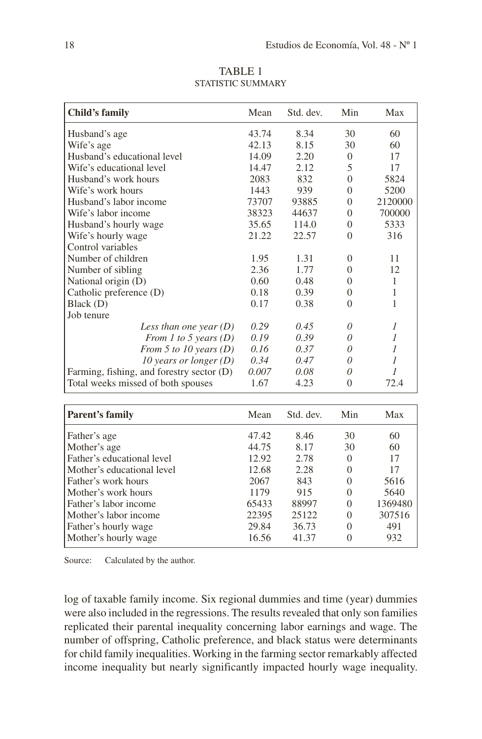| Child's family                            | Mean  | Std. dev. | Min      | Max     |
|-------------------------------------------|-------|-----------|----------|---------|
| Husband's age                             | 43.74 | 8.34      | 30       | 60      |
| Wife's age                                | 42.13 | 8.15      | 30       | 60      |
| Husband's educational level               | 14.09 | 2.20      | $\Omega$ | 17      |
| Wife's educational level                  | 14.47 | 2.12      | 5        | 17      |
| Husband's work hours                      | 2083  | 832       | $\Omega$ | 5824    |
| Wife's work hours                         | 1443  | 939       | $\Omega$ | 5200    |
| Husband's labor income                    | 73707 | 93885     | $\Omega$ | 2120000 |
| Wife's labor income                       | 38323 | 44637     | 0        | 700000  |
| Husband's hourly wage                     | 35.65 | 114.0     | $\Omega$ | 5333    |
| Wife's hourly wage                        | 21.22 | 22.57     | $\Omega$ | 316     |
| Control variables                         |       |           |          |         |
| Number of children                        | 1.95  | 1.31      | $\left($ | 11      |
| Number of sibling                         | 2.36  | 1.77      | 0        | 12      |
| National origin (D)                       | 0.60  | 0.48      | $\Omega$ | 1       |
| Catholic preference (D)                   | 0.18  | 0.39      | $\Omega$ | 1       |
| Black (D)                                 | 0.17  | 0.38      | $\theta$ | 1       |
| Job tenure                                |       |           |          |         |
| Less than one year $(D)$                  | 0.29  | 0.45      | 0        | 1       |
| From 1 to 5 years $(D)$                   | 0.19  | 0.39      | 0        | 1       |
| From 5 to 10 years $(D)$                  | 0.16  | 0.37      | $\theta$ | 1       |
| 10 years or longer $(D)$                  | 0.34  | 0.47      | 0        | 1       |
| Farming, fishing, and forestry sector (D) | 0.007 | 0.08      | $\Omega$ | 1       |
| Total weeks missed of both spouses        | 1.67  | 4.23      | $\Omega$ | 72.4    |

TABLE 1 STATISTIC SUMMARY

| Parent's family            | Mean  | Std. dev. | Min      | Max     |
|----------------------------|-------|-----------|----------|---------|
| Father's age               | 47.42 | 8.46      | 30       | 60      |
| Mother's age               | 44.75 | 8.17      | 30       | 60      |
| Father's educational level | 12.92 | 2.78      | $\Omega$ | 17      |
| Mother's educational level | 12.68 | 2.28      | $\Omega$ | 17      |
| Father's work hours        | 2067  | 843       | $\Omega$ | 5616    |
| Mother's work hours        | 1179  | 915       | $\Omega$ | 5640    |
| Father's labor income      | 65433 | 88997     | $\Omega$ | 1369480 |
| Mother's labor income      | 22395 | 25122     | $\Omega$ | 307516  |
| Father's hourly wage       | 29.84 | 36.73     | $\Omega$ | 491     |
| Mother's hourly wage       | 16.56 | 41.37     | 0        | 932     |

Source: Calculated by the author.

log of taxable family income. Six regional dummies and time (year) dummies were also included in the regressions. The results revealed that only son families replicated their parental inequality concerning labor earnings and wage. The number of offspring, Catholic preference, and black status were determinants for child family inequalities. Working in the farming sector remarkably affected income inequality but nearly significantly impacted hourly wage inequality.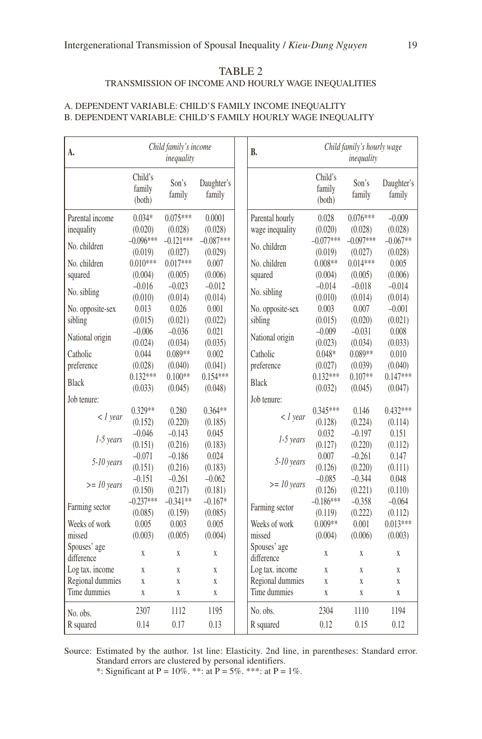#### TABLE 2 TRANSMISSION OF INCOME AND HOURLY WAGE INEQUALITIES

#### A. DEPENDENT VARIABLE: CHILD'S FAMILY INCOME INEQUALITY B. DEPENDENT VARIABLE: CHILD'S FAMILY HOURLY WAGE INEQUALITY

| А.                         | Child family's income<br>inequality |                     | <b>B.</b>            | Child family's hourly wage<br>inequality |                             |                  |                      |
|----------------------------|-------------------------------------|---------------------|----------------------|------------------------------------------|-----------------------------|------------------|----------------------|
|                            | Child's<br>family<br>(both)         | Son's<br>family     | Daughter's<br>family |                                          | Child's<br>family<br>(both) | Son's<br>family  | Daughter's<br>family |
| Parental income            | $0.034*$                            | $0.075***$          | 0.0001               | Parental hourly                          | 0.028                       | $0.076***$       | $-0.009$             |
| inequality                 | (0.020)                             | (0.028)             | (0.028)              | wage inequality                          | (0.020)                     | (0.028)          | (0.028)              |
| No. children               | $-0.096***$                         | $-0.121***$         | $-0.087***$          | No. children                             | $-0.077***$                 | $-0.097***$      | $-0.067**$           |
|                            | (0.019)                             | (0.027)             | (0.029)              |                                          | (0.019)                     | (0.027)          | (0.028)              |
| No. children               | $0.010***$                          | $0.017***$          | 0.007                | No. children                             | $0.008**$                   | $0.014***$       | 0.005                |
| squared                    | (0.004)<br>$-0.016$                 | (0.005)<br>$-0.023$ | (0.006)<br>$-0.012$  | squared                                  | (0.004)                     | (0.005)          | (0.006)<br>$-0.014$  |
| No. sibling                |                                     |                     |                      | No. sibling                              | $-0.014$                    | $-0.018$         |                      |
| No. opposite-sex           | (0.010)<br>0.013                    | (0.014)<br>0.026    | (0.014)<br>0.001     | No. opposite-sex                         | (0.010)<br>0.003            | (0.014)<br>0.007 | (0.014)<br>$-0.001$  |
| sibling                    | (0.015)                             | (0.021)             | (0.022)              | sibling                                  | (0.015)                     | (0.020)          | (0.021)              |
|                            | $-0.006$                            | $-0.036$            | 0.021                |                                          | $-0.009$                    | $-0.031$         | 0.008                |
| National origin            | (0.024)                             | (0.034)             | (0.035)              | National origin                          | (0.023)                     | (0.034)          | (0.033)              |
| Catholic                   | 0.044                               | $0.089**$           | 0.002                | Catholic                                 | $0.048*$                    | $0.089**$        | 0.010                |
| preference                 | (0.028)                             | (0.040)             | (0.041)              | preference                               | (0.027)                     | (0.039)          | (0.040)              |
|                            | $0.132***$                          | $0.100**$           | $0.154***$           |                                          | $0.132***$                  | $0.107**$        | $0.147***$           |
| <b>Black</b>               | (0.033)                             | (0.045)             | (0.048)              | <b>Black</b>                             | (0.032)                     | (0.045)          | (0.047)              |
| Job tenure:                |                                     |                     |                      | Job tenure:                              |                             |                  |                      |
|                            | 0.329**                             | 0.280               | $0.364**$            |                                          | $0.345***$                  | 0.146            | $0.432***$           |
| $\langle$ 1 year           | (0.152)                             | (0.220)             | (0.185)              | $\langle$ 1 year                         | (0.128)                     | (0.224)          | (0.114)              |
|                            | $-0.046$                            | $-0.143$            | 0.045                |                                          | 0.032                       | $-0.197$         | 0.151                |
| 1-5 years                  | (0.151)                             | (0.216)             | (0.183)              | 1-5 years                                | (0.127)                     | (0.220)          | (0.112)              |
| 5-10 years                 | $-0.071$                            | $-0.186$            | 0.024                | 5-10 years                               | 0.007                       | $-0.261$         | 0.147                |
|                            | (0.151)                             | (0.216)             | (0.183)              |                                          | (0.126)                     | (0.220)          | (0.111)              |
| $>= 10$ years              | $-0.151$                            | $-0.261$            | $-0.062$             | $>= 10$ years                            | $-0.085$                    | $-0.344$         | 0.048                |
|                            | (0.150)                             | (0.217)             | (0.181)              |                                          | (0.126)                     | (0.221)          | (0.110)              |
| Farming sector             | $-0.237***$                         | $-0.341**$          | $-0.167*$            | Farming sector                           | $-0.186***$                 | $-0.358$         | $-0.064$             |
|                            | (0.085)                             | (0.159)             | (0.085)              |                                          | (0.119)                     | (0.222)          | (0.112)              |
| Weeks of work              | 0.005                               | 0.003               | 0.005                | Weeks of work                            | $0.009**$                   | 0.001            | $0.013***$           |
| missed                     | (0.003)                             | (0.005)             | (0.004)              | missed                                   | (0.004)                     | (0.006)          | (0.003)              |
| Spouses' age<br>difference | X                                   | X                   | X                    | Spouses' age<br>difference               | X                           | X                | X                    |
| Log tax. income            | X                                   | X                   | X                    | Log tax. income                          | X                           | X                | X                    |
| Regional dummies           | X                                   | X                   | X                    | Regional dummies                         | $\overline{X}$              | X                | $\mathbf X$          |
| Time dummies               | X                                   | X                   | X                    | Time dummies                             | $\rm X$                     | $\overline{X}$   | X                    |
| No. obs.                   | 2307                                | 1112                | 1195                 | No. obs.                                 | 2304                        | 1110             | 1194                 |
| R squared                  | 0.14                                | 0.17                | 0.13                 | R squared                                | 0.12                        | 0.15             | 0.12                 |

Source: Estimated by the author. 1st line: Elasticity. 2nd line, in parentheses: Standard error. Standard errors are clustered by personal identifiers.

\*: Significant at P =  $10\%$ . \*\*: at P =  $5\%$ . \*\*\*: at P =  $1\%$ .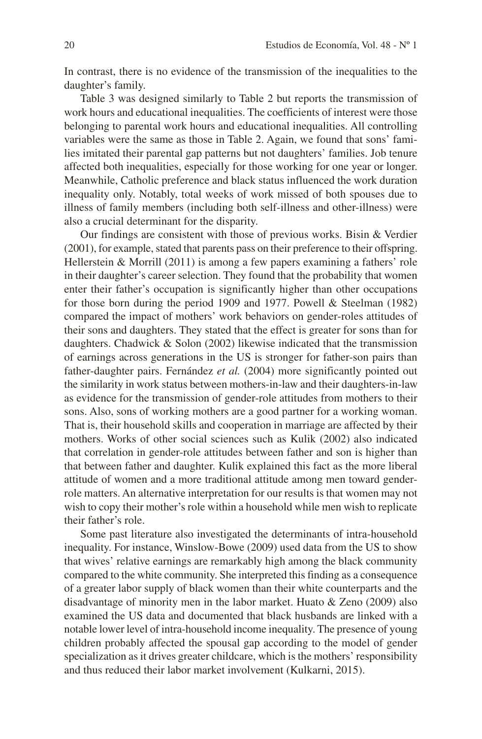In contrast, there is no evidence of the transmission of the inequalities to the daughter's family.

Table 3 was designed similarly to Table 2 but reports the transmission of work hours and educational inequalities. The coefficients of interest were those belonging to parental work hours and educational inequalities. All controlling variables were the same as those in Table 2. Again, we found that sons' families imitated their parental gap patterns but not daughters' families. Job tenure affected both inequalities, especially for those working for one year or longer. Meanwhile, Catholic preference and black status influenced the work duration inequality only. Notably, total weeks of work missed of both spouses due to illness of family members (including both self-illness and other-illness) were also a crucial determinant for the disparity.

Our findings are consistent with those of previous works. Bisin & Verdier (2001), for example, stated that parents pass on their preference to their offspring. Hellerstein & Morrill (2011) is among a few papers examining a fathers' role in their daughter's career selection. They found that the probability that women enter their father's occupation is significantly higher than other occupations for those born during the period 1909 and 1977. Powell & Steelman (1982) compared the impact of mothers' work behaviors on gender-roles attitudes of their sons and daughters. They stated that the effect is greater for sons than for daughters. Chadwick & Solon (2002) likewise indicated that the transmission of earnings across generations in the US is stronger for father-son pairs than father-daughter pairs. Fernández *et al.* (2004) more significantly pointed out the similarity in work status between mothers-in-law and their daughters-in-law as evidence for the transmission of gender-role attitudes from mothers to their sons. Also, sons of working mothers are a good partner for a working woman. That is, their household skills and cooperation in marriage are affected by their mothers. Works of other social sciences such as Kulik (2002) also indicated that correlation in gender-role attitudes between father and son is higher than that between father and daughter. Kulik explained this fact as the more liberal attitude of women and a more traditional attitude among men toward genderrole matters. An alternative interpretation for our results is that women may not wish to copy their mother's role within a household while men wish to replicate their father's role.

Some past literature also investigated the determinants of intra-household inequality. For instance, Winslow-Bowe (2009) used data from the US to show that wives' relative earnings are remarkably high among the black community compared to the white community. She interpreted this finding as a consequence of a greater labor supply of black women than their white counterparts and the disadvantage of minority men in the labor market. Huato & Zeno (2009) also examined the US data and documented that black husbands are linked with a notable lower level of intra-household income inequality. The presence of young children probably affected the spousal gap according to the model of gender specialization as it drives greater childcare, which is the mothers' responsibility and thus reduced their labor market involvement (Kulkarni, 2015).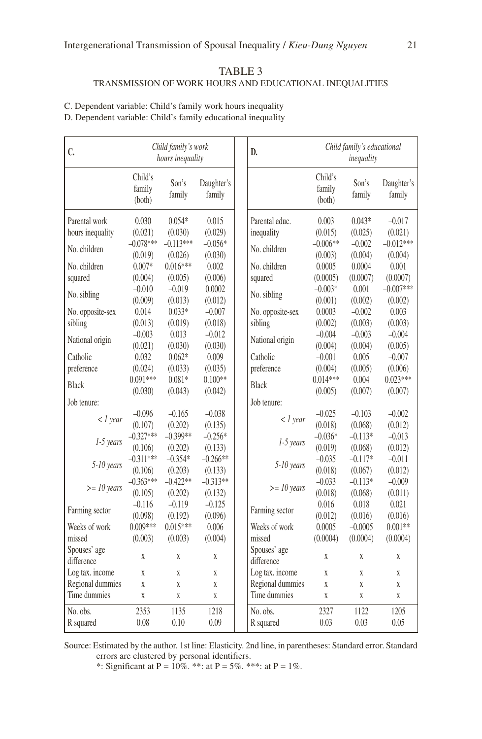#### TABLE 3 TRANSMISSION OF WORK HOURS AND EDUCATIONAL INEQUALITIES

C. Dependent variable: Child's family work hours inequality

D. Dependent variable: Child's family educational inequality

| C.                         | Child family's work<br>hours inequality |                        | D.                   | Child family's educational<br>inequality |                             |                     |                        |
|----------------------------|-----------------------------------------|------------------------|----------------------|------------------------------------------|-----------------------------|---------------------|------------------------|
|                            | Child's<br>family<br>(both)             | Son's<br>family        | Daughter's<br>family |                                          | Child's<br>family<br>(both) | Son's<br>family     | Daughter's<br>family   |
| Parental work              | 0.030                                   | $0.054*$               | 0.015                | Parental educ.                           | 0.003                       | $0.043*$            | $-0.017$               |
| hours inequality           | (0.021)                                 | (0.030)                | (0.029)              | inequality                               | (0.015)                     | (0.025)             | (0.021)                |
| No. children               | $-0.078***$<br>(0.019)                  | $-0.113***$<br>(0.026) | $-0.056*$<br>(0.030) | No. children                             | $-0.006**$<br>(0.003)       | $-0.002$<br>(0.004) | $-0.012***$<br>(0.004) |
| No. children               | $0.007*$                                | $0.016***$             | 0.002                | No. children                             | 0.0005                      | 0.0004              | 0.001                  |
| squared                    | (0.004)                                 | (0.005)                | (0.006)              | squared                                  | (0.0005)                    | (0.0007)            | (0.0007)               |
| No. sibling                | $-0.010$                                | $-0.019$               | 0.0002               | No. sibling                              | $-0.003*$                   | 0.001               | $-0.007***$            |
|                            | (0.009)                                 | (0.013)                | (0.012)              |                                          | (0.001)                     | (0.002)             | (0.002)                |
| No. opposite-sex           | 0.014                                   | $0.033*$               | $-0.007$             | No. opposite-sex                         | 0.0003                      | $-0.002$            | 0.003                  |
| sibling                    | (0.013)                                 | (0.019)                | (0.018)              | sibling                                  | (0.002)                     | (0.003)             | (0.003)                |
| National origin            | $-0.003$                                | 0.013                  | $-0.012$             | National origin                          | $-0.004$                    | $-0.003$            | $-0.004$               |
|                            | (0.021)                                 | (0.030)                | (0.030)              |                                          | (0.004)                     | (0.004)             | (0.005)                |
| Catholic                   | 0.032                                   | $0.062*$               | 0.009                | Catholic                                 | $-0.001$                    | 0.005               | $-0.007$               |
| preference                 | (0.024)                                 | (0.033)                | (0.035)              | preference                               | (0.004)                     | (0.005)             | (0.006)                |
| <b>Black</b>               | $0.091***$                              | $0.081*$               | $0.100**$            | <b>Black</b>                             | $0.014***$                  | 0.004               | $0.023***$             |
|                            | (0.030)                                 | (0.043)                | (0.042)              |                                          | (0.005)                     | (0.007)             | (0.007)                |
| Job tenure:                |                                         |                        |                      | Job tenure:                              |                             |                     |                        |
| $\langle$ l vear           | $-0.096$                                | $-0.165$               | $-0.038$             | $\langle$ l vear                         | $-0.025$                    | $-0.103$            | $-0.002$               |
|                            | (0.107)                                 | (0.202)                | (0.135)              |                                          | (0.018)                     | (0.068)             | (0.012)                |
| 1-5 years                  | $-0.327***$                             | $-0.399**$             | $-0.256*$            | 1-5 years                                | $-0.036*$                   | $-0.113*$           | $-0.013$               |
|                            | (0.106)                                 | (0.202)                | (0.133)              |                                          | (0.019)                     | (0.068)             | (0.012)                |
| 5-10 years                 | $-0.311***$                             | $-0.354*$              | $-0.266**$           | 5-10 years                               | $-0.035$                    | $-0.117*$           | $-0.011$               |
|                            | (0.106)                                 | (0.203)                | (0.133)              |                                          | (0.018)                     | (0.067)             | (0.012)                |
| $>= 10$ years              | $-0.363***$                             | $-0.422**$             | $-0.313**$           | $>= 10$ years                            | $-0.033$                    | $-0.113*$           | $-0.009$               |
|                            | (0.105)                                 | (0.202)                | (0.132)              |                                          | (0.018)                     | (0.068)             | (0.011)                |
| Farming sector             | $-0.116$                                | $-0.119$               | $-0.125$             | Farming sector                           | 0.016                       | 0.018               | 0.021                  |
| Weeks of work              | (0.098)<br>$0.009***$                   | (0.192)<br>$0.015***$  | (0.096)<br>0.006     | Weeks of work                            | (0.012)                     | (0.016)             | (0.016)<br>$0.001**$   |
| missed                     |                                         |                        |                      | missed                                   | 0.0005                      | $-0.0005$           |                        |
|                            | (0.003)                                 | (0.003)                | (0.004)              |                                          | (0.0004)                    | (0.0004)            | (0.0004)               |
| Spouses' age<br>difference | X                                       | X                      | X                    | Spouses' age<br>difference               | X                           | X                   | X                      |
| Log tax. income            | X                                       | X                      | X                    | Log tax. income                          | $\mathbf X$                 | X                   | $\mathbf X$            |
| Regional dummies           | X                                       | X                      | X                    | Regional dummies                         | $\overline{X}$              | X                   | X                      |
| Time dummies               | X                                       | X                      | X                    | Time dummies                             | $\mathbf X$                 | X                   | X                      |
| No. obs.                   | 2353                                    | 1135                   | 1218                 | No. obs.                                 | 2327                        | 1122                | 1205                   |
| R squared                  | 0.08                                    | 0.10                   | 0.09                 | R squared                                | 0.03                        | 0.03                | 0.05                   |

Source: Estimated by the author. 1st line: Elasticity. 2nd line, in parentheses: Standard error. Standard errors are clustered by personal identifiers.

\*: Significant at P =  $10\%$ . \*\*: at P = 5%. \*\*\*: at P = 1%.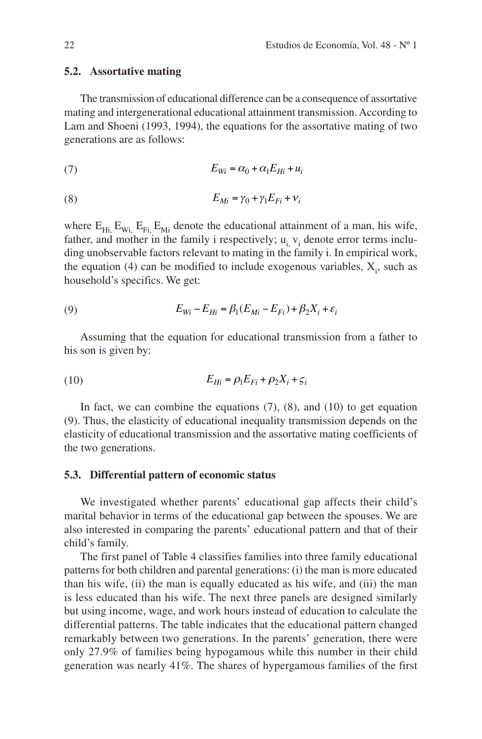#### **5.2. Assortative mating**

The transmission of educational difference can be a consequence of assortative mating and intergenerational educational attainment transmission. According to Lam and Shoeni (1993, 1994), the equations for the assortative mating of two generations are as follows:

$$
(7) \tE_{Wi} = \alpha_0 + \alpha_1 E_{Hi} + u_i
$$

$$
(8) \t\t\t E_{Mi} = \gamma_0 + \gamma_1 E_{Fi} + \nu_i
$$

where  $E_{Hi}$ ,  $E_{Wi}$ ,  $E_{Fi}$ ,  $E_{Mi}$  denote the educational attainment of a man, his wife, father, and mother in the family i respectively;  $u_i$ ,  $v_i$  denote error terms including unobservable factors relevant to mating in the family i. In empirical work, the equation  $(4)$  can be modified to include exogenous variables,  $X_i$ , such as household's specifics. We get:

(9) 
$$
E_{Wi} - E_{Hi} = \beta_1 (E_{Mi} - E_{Fi}) + \beta_2 X_i + \varepsilon_i
$$

Assuming that the equation for educational transmission from a father to his son is given by:

(10) 
$$
E_{Hi} = \rho_1 E_{Fi} + \rho_2 X_i + \varsigma_i
$$

In fact, we can combine the equations  $(7)$ ,  $(8)$ , and  $(10)$  to get equation (9). Thus, the elasticity of educational inequality transmission depends on the elasticity of educational transmission and the assortative mating coefficients of the two generations.

#### **5.3. Differential pattern of economic status**

We investigated whether parents' educational gap affects their child's marital behavior in terms of the educational gap between the spouses. We are also interested in comparing the parents' educational pattern and that of their child's family.

The first panel of Table 4 classifies families into three family educational patterns for both children and parental generations: (i) the man is more educated than his wife, (ii) the man is equally educated as his wife, and (iii) the man is less educated than his wife. The next three panels are designed similarly but using income, wage, and work hours instead of education to calculate the differential patterns. The table indicates that the educational pattern changed remarkably between two generations. In the parents' generation, there were only 27.9% of families being hypogamous while this number in their child generation was nearly 41%. The shares of hypergamous families of the first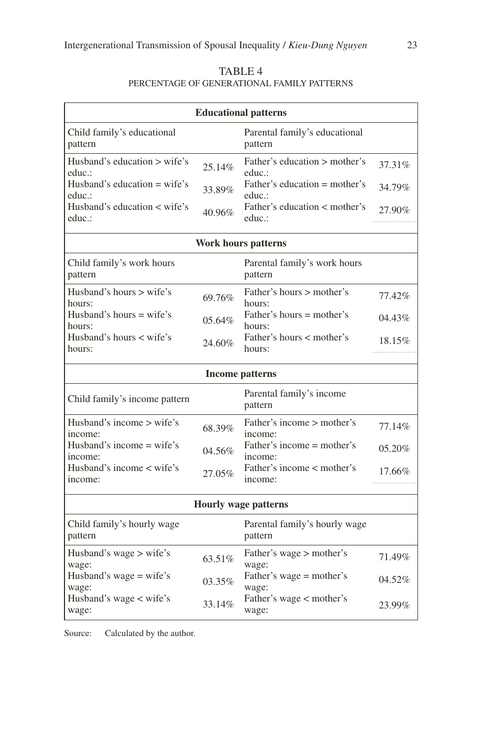| TABLE 4                                    |
|--------------------------------------------|
| PERCENTAGE OF GENERATIONAL FAMILY PATTERNS |

| <b>Educational patterns</b>                      |        |                                           |             |  |  |
|--------------------------------------------------|--------|-------------------------------------------|-------------|--|--|
| Child family's educational<br>pattern            |        | Parental family's educational<br>pattern  |             |  |  |
| Husband's education $>$ wife's<br>educ.:         | 25.14% | Father's education > mother's<br>educ.:   | 37.31%      |  |  |
| Husband's education $=$ wife's<br>educ.:         | 33.89% | Father's education $=$ mother's<br>educ.: | 34.79%      |  |  |
| Husband's education < wife's<br>40.96%<br>educ.: |        | Father's education < mother's<br>educ.:   | 27.90%      |  |  |
|                                                  |        | Work hours patterns                       |             |  |  |
| Child family's work hours<br>pattern             |        | Parental family's work hours<br>pattern   |             |  |  |
| Husband's hours $>$ wife's<br>hours:             | 69.76% | Father's hours > mother's<br>hours:       | 77.42%      |  |  |
| Husband's hours $=$ wife's<br>hours:             | 05.64% | Father's hours $=$ mother's<br>hours:     | 04.43%      |  |  |
| Husband's hours < wife's<br>hours:               | 24.60% | Father's hours < mother's<br>hours:       | 18.15%      |  |  |
|                                                  |        | <b>Income patterns</b>                    |             |  |  |
| Child family's income pattern                    |        | Parental family's income<br>pattern       |             |  |  |
| Husband's income > wife's<br>income:             | 68.39% | Father's income > mother's<br>income:     | 77.14%      |  |  |
| Husband's income $=$ wife's<br>income:           | 04.56% | Father's income = mother's<br>income:     | 05.20%      |  |  |
| Husband's income $\lt$ wife's<br>income:         | 27.05% | Father's income < mother's<br>income:     | 17.66%<br>. |  |  |
|                                                  |        | <b>Hourly wage patterns</b>               |             |  |  |
| Child family's hourly wage<br>pattern            |        | Parental family's hourly wage<br>pattern  |             |  |  |
| Husband's wage > wife's<br>wage:                 | 63.51% | Father's wage > mother's<br>wage:         | 71.49%      |  |  |
| Husband's wage = wife's<br>wage:                 | 03.35% | Father's wage = mother's<br>wage:         | 04.52%      |  |  |
| Husband's wage < wife's<br>wage:                 | 33.14% | Father's wage < mother's<br>wage:         | 23.99%      |  |  |

Source: Calculated by the author.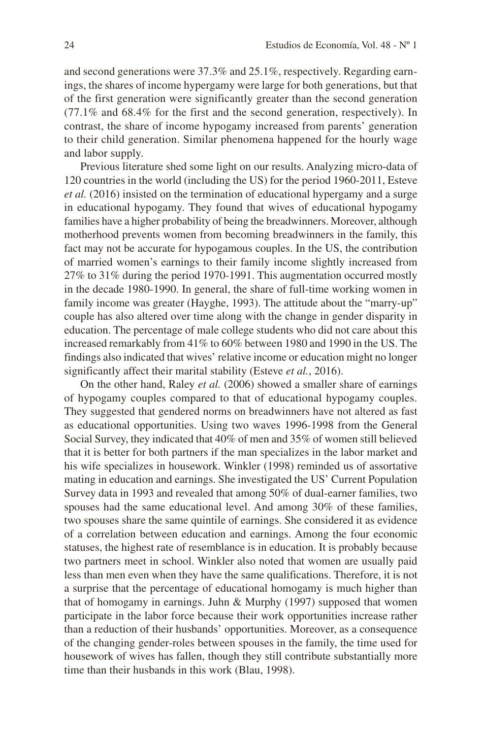and second generations were 37.3% and 25.1%, respectively. Regarding earnings, the shares of income hypergamy were large for both generations, but that of the first generation were significantly greater than the second generation (77.1% and 68.4% for the first and the second generation, respectively). In contrast, the share of income hypogamy increased from parents' generation to their child generation. Similar phenomena happened for the hourly wage and labor supply.

Previous literature shed some light on our results. Analyzing micro-data of 120 countries in the world (including the US) for the period 1960-2011, Esteve *et al.* (2016) insisted on the termination of educational hypergamy and a surge in educational hypogamy. They found that wives of educational hypogamy families have a higher probability of being the breadwinners. Moreover, although motherhood prevents women from becoming breadwinners in the family, this fact may not be accurate for hypogamous couples. In the US, the contribution of married women's earnings to their family income slightly increased from 27% to 31% during the period 1970-1991. This augmentation occurred mostly in the decade 1980-1990. In general, the share of full-time working women in family income was greater (Hayghe, 1993). The attitude about the "marry-up" couple has also altered over time along with the change in gender disparity in education. The percentage of male college students who did not care about this increased remarkably from 41% to 60% between 1980 and 1990 in the US. The findings also indicated that wives' relative income or education might no longer significantly affect their marital stability (Esteve *et al.*, 2016).

On the other hand, Raley *et al.* (2006) showed a smaller share of earnings of hypogamy couples compared to that of educational hypogamy couples. They suggested that gendered norms on breadwinners have not altered as fast as educational opportunities. Using two waves 1996-1998 from the General Social Survey, they indicated that 40% of men and 35% of women still believed that it is better for both partners if the man specializes in the labor market and his wife specializes in housework. Winkler (1998) reminded us of assortative mating in education and earnings. She investigated the US' Current Population Survey data in 1993 and revealed that among 50% of dual-earner families, two spouses had the same educational level. And among 30% of these families, two spouses share the same quintile of earnings. She considered it as evidence of a correlation between education and earnings. Among the four economic statuses, the highest rate of resemblance is in education. It is probably because two partners meet in school. Winkler also noted that women are usually paid less than men even when they have the same qualifications. Therefore, it is not a surprise that the percentage of educational homogamy is much higher than that of homogamy in earnings. Juhn  $&$  Murphy (1997) supposed that women participate in the labor force because their work opportunities increase rather than a reduction of their husbands' opportunities. Moreover, as a consequence of the changing gender-roles between spouses in the family, the time used for housework of wives has fallen, though they still contribute substantially more time than their husbands in this work (Blau, 1998).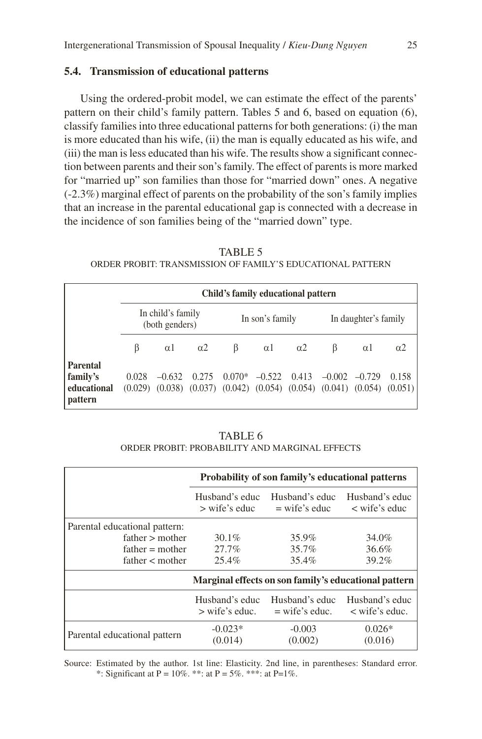## **5.4. Transmission of educational patterns**

Using the ordered-probit model, we can estimate the effect of the parents' pattern on their child's family pattern. Tables 5 and 6, based on equation (6), classify families into three educational patterns for both generations: (i) the man is more educated than his wife, (ii) the man is equally educated as his wife, and (iii) the man is less educated than his wife. The results show a significant connection between parents and their son's family. The effect of parents is more marked for "married up" son families than those for "married down" ones. A negative (-2.3%) marginal effect of parents on the probability of the son's family implies that an increase in the parental educational gap is connected with a decrease in the incidence of son families being of the "married down" type.

TABLE 5 ORDER PROBIT: TRANSMISSION OF FAMILY'S EDUCATIONAL PATTERN

|                        |                                     | Child's family educational pattern |                |                             |            |                                                                                           |                      |          |            |
|------------------------|-------------------------------------|------------------------------------|----------------|-----------------------------|------------|-------------------------------------------------------------------------------------------|----------------------|----------|------------|
|                        | In child's family<br>(both genders) |                                    |                | In son's family             |            |                                                                                           | In daughter's family |          |            |
|                        | ß                                   | $\alpha$ 1                         | $\alpha$ 2     | $\beta$                     | $\alpha$ 1 | $\alpha$ 2                                                                                | B                    | $\alpha$ | $\alpha$ 2 |
| <b>Parental</b>        |                                     |                                    |                |                             |            |                                                                                           |                      |          |            |
| family's               | 0.028                               |                                    | $-0.632$ 0.275 | $0.070* -0.522 \quad 0.413$ |            |                                                                                           | $-0.002$ $-0.729$    |          | 0.158      |
| educational<br>pattern |                                     |                                    |                |                             |            | $(0.029)$ $(0.038)$ $(0.037)$ $(0.042)$ $(0.054)$ $(0.054)$ $(0.041)$ $(0.054)$ $(0.051)$ |                      |          |            |

TABLE 6 ORDER PROBIT: PROBABILITY AND MARGINAL EFFECTS

|                               |                                    | Probability of son family's educational patterns     |                                          |
|-------------------------------|------------------------------------|------------------------------------------------------|------------------------------------------|
|                               | Husband's educ<br>$>$ wife's educ  | Husband's educ<br>$=$ wife's educ                    | Husband's educ<br>$\langle$ wife's educ  |
| Parental educational pattern: |                                    |                                                      |                                          |
| $father$ > mother             | $30.1\%$                           | 35.9%                                                | 34.0%                                    |
| $father = mother$             | 27.7%                              | 35.7%                                                | 36.6%                                    |
| father < mother               | 25.4%                              | 35.4%                                                | 39.2%                                    |
|                               |                                    | Marginal effects on son family's educational pattern |                                          |
|                               | Husband's educ<br>$>$ wife's educ. | Husband's educ<br>$=$ wife's educ.                   | Husband's educ<br>$\langle$ wife's educ. |
| Parental educational pattern  | $-0.023*$<br>(0.014)               | $-0.003$<br>(0.002)                                  | $0.026*$<br>(0.016)                      |

Source: Estimated by the author. 1st line: Elasticity. 2nd line, in parentheses: Standard error. \*: Significant at P =  $10\%$ . \*\*\*: at P =  $5\%$ . \*\*\*: at P =  $1\%$ .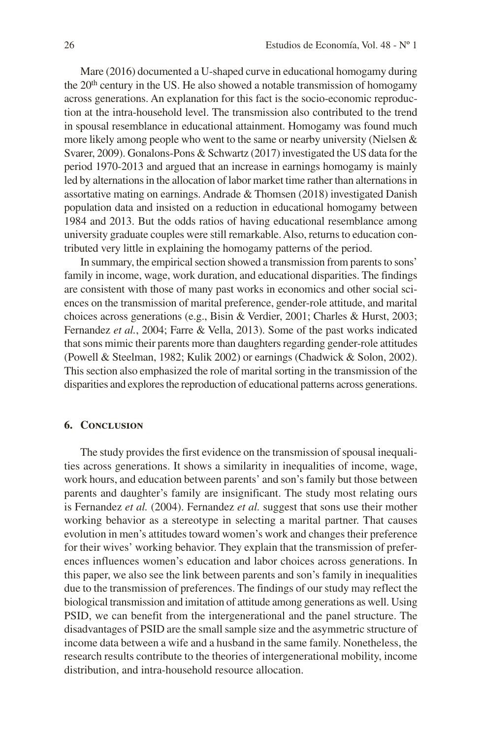Mare (2016) documented a U-shaped curve in educational homogamy during the 20<sup>th</sup> century in the US. He also showed a notable transmission of homogamy across generations. An explanation for this fact is the socio-economic reproduction at the intra-household level. The transmission also contributed to the trend in spousal resemblance in educational attainment. Homogamy was found much more likely among people who went to the same or nearby university (Nielsen & Svarer, 2009). Gonalons-Pons & Schwartz (2017) investigated the US data for the period 1970-2013 and argued that an increase in earnings homogamy is mainly led by alternations in the allocation of labor market time rather than alternations in assortative mating on earnings. Andrade & Thomsen (2018) investigated Danish population data and insisted on a reduction in educational homogamy between 1984 and 2013. But the odds ratios of having educational resemblance among university graduate couples were still remarkable. Also, returns to education contributed very little in explaining the homogamy patterns of the period.

In summary, the empirical section showed a transmission from parents to sons' family in income, wage, work duration, and educational disparities. The findings are consistent with those of many past works in economics and other social sciences on the transmission of marital preference, gender-role attitude, and marital choices across generations (e.g., Bisin & Verdier, 2001; Charles & Hurst, 2003; Fernandez *et al.*, 2004; Farre & Vella, 2013). Some of the past works indicated that sons mimic their parents more than daughters regarding gender-role attitudes (Powell & Steelman, 1982; Kulik 2002) or earnings (Chadwick & Solon, 2002). This section also emphasized the role of marital sorting in the transmission of the disparities and explores the reproduction of educational patterns across generations.

#### **6. Conclusion**

The study provides the first evidence on the transmission of spousal inequalities across generations. It shows a similarity in inequalities of income, wage, work hours, and education between parents' and son's family but those between parents and daughter's family are insignificant. The study most relating ours is Fernandez *et al.* (2004). Fernandez *et al.* suggest that sons use their mother working behavior as a stereotype in selecting a marital partner. That causes evolution in men's attitudes toward women's work and changes their preference for their wives' working behavior. They explain that the transmission of preferences influences women's education and labor choices across generations. In this paper, we also see the link between parents and son's family in inequalities due to the transmission of preferences. The findings of our study may reflect the biological transmission and imitation of attitude among generations as well. Using PSID, we can benefit from the intergenerational and the panel structure. The disadvantages of PSID are the small sample size and the asymmetric structure of income data between a wife and a husband in the same family. Nonetheless, the research results contribute to the theories of intergenerational mobility, income distribution, and intra-household resource allocation.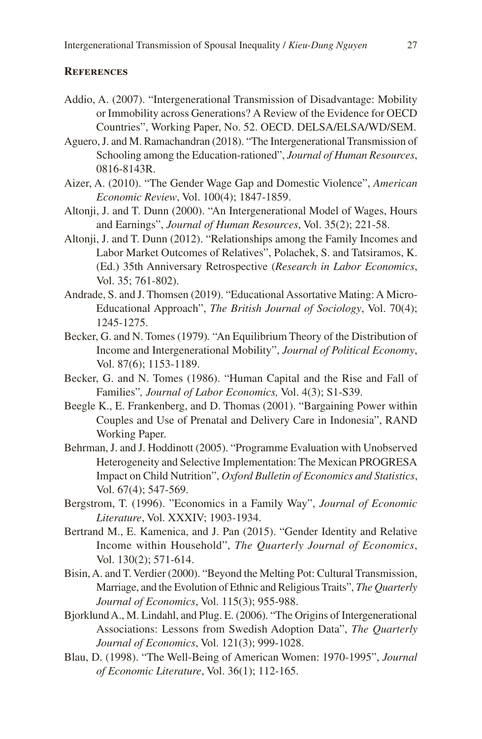## **References**

- Addio, A. (2007). "Intergenerational Transmission of Disadvantage: Mobility or Immobility across Generations? A Review of the Evidence for OECD Countries", Working Paper, No. 52. OECD. DELSA/ELSA/WD/SEM.
- Aguero, J. and M. Ramachandran (2018). "The Intergenerational Transmission of Schooling among the Education-rationed", *Journal of Human Resources*, 0816-8143R.
- Aizer, A. (2010). "The Gender Wage Gap and Domestic Violence", *American Economic Review*, Vol. 100(4); 1847-1859.
- Altonji, J. and T. Dunn (2000). "An Intergenerational Model of Wages, Hours and Earnings", *Journal of Human Resources*, Vol. 35(2); 221-58.
- Altonji, J. and T. Dunn (2012). "Relationships among the Family Incomes and Labor Market Outcomes of Relatives", Polachek, S. and Tatsiramos, K. (Ed.) 35th Anniversary Retrospective (*Research in Labor Economics*, Vol. 35; 761-802).
- Andrade, S. and J. Thomsen (2019). "Educational Assortative Mating: A Micro-Educational Approach", *The British Journal of Sociology*, Vol. 70(4); 1245-1275.
- Becker, G. and N. Tomes (1979)*.* "An Equilibrium Theory of the Distribution of Income and Intergenerational Mobility", *Journal of Political Economy*, Vol. 87(6); 1153-1189.
- Becker, G. and N. Tomes (1986). "Human Capital and the Rise and Fall of Families"*, Journal of Labor Economics,* Vol. 4(3); S1-S39.
- Beegle K., E. Frankenberg, and D. Thomas (2001). "Bargaining Power within Couples and Use of Prenatal and Delivery Care in Indonesia", RAND Working Paper.
- Behrman, J. and J. Hoddinott (2005). "Programme Evaluation with Unobserved Heterogeneity and Selective Implementation: The Mexican PROGRESA Impact on Child Nutrition", *Oxford Bulletin of Economics and Statistics*, Vol. 67(4); 547-569.
- Bergstrom, T. (1996). "Economics in a Family Way", *Journal of Economic Literature*, Vol. XXXIV; 1903-1934.
- Bertrand M., E. Kamenica, and J. Pan (2015). "Gender Identity and Relative Income within Household", *The Quarterly Journal of Economics*, Vol. 130(2); 571-614.
- Bisin, A. and T. Verdier (2000). "Beyond the Melting Pot: Cultural Transmission, Marriage, and the Evolution of Ethnic and Religious Traits", *The Quarterly Journal of Economics*, Vol. 115(3); 955-988.
- Bjorklund A., M. Lindahl, and Plug. E. (2006). "The Origins of Intergenerational Associations: Lessons from Swedish Adoption Data", *The Quarterly Journal of Economics*, Vol. 121(3); 999-1028.
- Blau, D. (1998). "The Well-Being of American Women: 1970-1995", *Journal of Economic Literature*, Vol. 36(1); 112-165.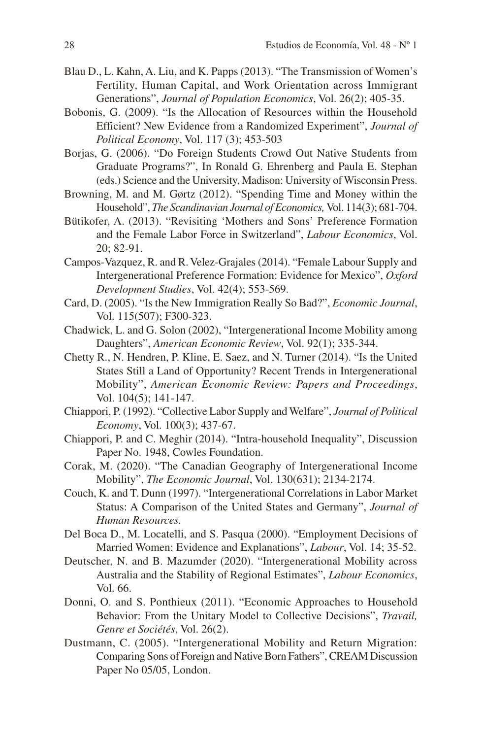- Blau D., L. Kahn, A. Liu, and K. Papps (2013). "The Transmission of Women's Fertility, Human Capital, and Work Orientation across Immigrant Generations", *Journal of Population Economics*, Vol. 26(2); 405-35.
- Bobonis, G. (2009). "Is the Allocation of Resources within the Household Efficient? New Evidence from a Randomized Experiment", *Journal of Political Economy*, Vol. 117 (3); 453-503
- Borjas, G. (2006). "Do Foreign Students Crowd Out Native Students from Graduate Programs?", In Ronald G. Ehrenberg and Paula E. Stephan (eds.) Science and the University, Madison: University of Wisconsin Press.
- Browning, M. and M. Gørtz (2012). "Spending Time and Money within the Household", *The Scandinavian Journal of Economics,* Vol. 114(3); 681-704.
- Bütikofer, A. (2013). "Revisiting 'Mothers and Sons' Preference Formation and the Female Labor Force in Switzerland", *Labour Economics*, Vol. 20; 82-91.
- Campos-Vazquez, R. and R. Velez-Grajales (2014). "Female Labour Supply and Intergenerational Preference Formation: Evidence for Mexico", *Oxford Development Studies*, Vol. 42(4); 553-569.
- Card, D. (2005). "Is the New Immigration Really So Bad?", *Economic Journal*, Vol. 115(507); F300-323.
- Chadwick, L. and G. Solon (2002), "Intergenerational Income Mobility among Daughters", *American Economic Review*, Vol. 92(1); 335-344.
- Chetty R., N. Hendren, P. Kline, E. Saez, and N. Turner (2014). "Is the United States Still a Land of Opportunity? Recent Trends in Intergenerational Mobility", *American Economic Review: Papers and Proceedings*, Vol. 104(5); 141-147.
- Chiappori, P. (1992). "Collective Labor Supply and Welfare", *Journal of Political Economy*, Vol. 100(3); 437-67.
- Chiappori, P. and C. Meghir (2014). "Intra-household Inequality", Discussion Paper No. 1948, Cowles Foundation.
- Corak, M. (2020). "The Canadian Geography of Intergenerational Income Mobility", *The Economic Journal*, Vol. 130(631); 2134-2174.
- Couch, K. and T. Dunn (1997). "Intergenerational Correlations in Labor Market Status: A Comparison of the United States and Germany", *Journal of Human Resources.*
- Del Boca D., M. Locatelli, and S. Pasqua (2000). "Employment Decisions of Married Women: Evidence and Explanations", *Labour*, Vol. 14; 35-52.
- Deutscher, N. and B. Mazumder (2020). "Intergenerational Mobility across Australia and the Stability of Regional Estimates", *Labour Economics*, Vol. 66.
- Donni, O. and S. Ponthieux (2011). "Economic Approaches to Household Behavior: From the Unitary Model to Collective Decisions", *Travail, Genre et Sociétés*, Vol. 26(2).
- Dustmann, C. (2005). "Intergenerational Mobility and Return Migration: Comparing Sons of Foreign and Native Born Fathers", CREAM Discussion Paper No 05/05, London.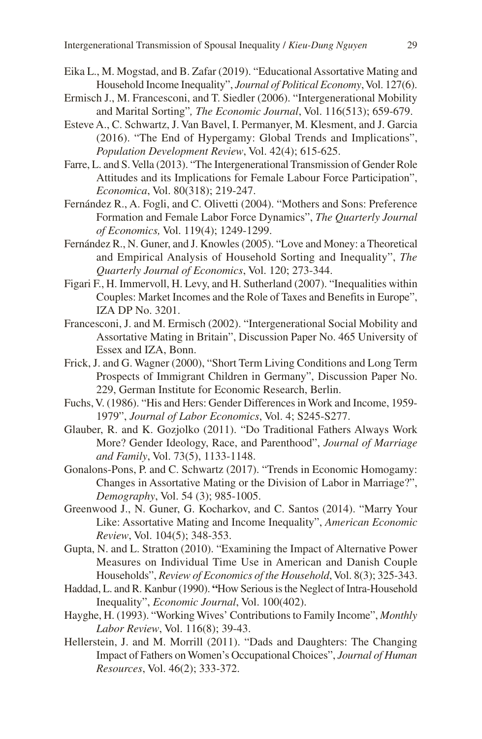- Eika L., M. Mogstad, and B. Zafar (2019). "Educational Assortative Mating and Household Income Inequality", *Journal of Political Economy*, Vol. 127(6).
- Ermisch J., M. Francesconi, and T. Siedler (2006). "Intergenerational Mobility and Marital Sorting"*, The Economic Journal*, Vol. 116(513); 659-679.
- Esteve A., C. Schwartz, J. Van Bavel, I. Permanyer, M. Klesment, and J. Garcia (2016). "The End of Hypergamy: Global Trends and Implications", *Population Development Review*, Vol. 42(4); 615-625.
- Farre, L. and S. Vella (2013). "The Intergenerational Transmission of Gender Role Attitudes and its Implications for Female Labour Force Participation", *Economica*, Vol. 80(318); 219-247.
- Fernández R., A. Fogli, and C. Olivetti (2004). "Mothers and Sons: Preference Formation and Female Labor Force Dynamics", *The Quarterly Journal of Economics,* Vol. 119(4); 1249-1299.
- Fernández R., N. Guner, and J. Knowles (2005). "Love and Money: a Theoretical and Empirical Analysis of Household Sorting and Inequality", *The Quarterly Journal of Economics*, Vol. 120; 273-344.
- Figari F., H. Immervoll, H. Levy, and H. Sutherland (2007). "Inequalities within Couples: Market Incomes and the Role of Taxes and Benefits in Europe", IZA DP No. 3201.
- Francesconi, J. and M. Ermisch (2002). "Intergenerational Social Mobility and Assortative Mating in Britain", Discussion Paper No. 465 University of Essex and IZA, Bonn.
- Frick, J. and G. Wagner (2000), "Short Term Living Conditions and Long Term Prospects of Immigrant Children in Germany", Discussion Paper No. 229, German Institute for Economic Research, Berlin.
- Fuchs, V. (1986). "His and Hers: Gender Differences in Work and Income, 1959- 1979", *Journal of Labor Economics*, Vol. 4; S245-S277.
- Glauber, R. and K. Gozjolko (2011). "Do Traditional Fathers Always Work More? Gender Ideology, Race, and Parenthood", *Journal of Marriage and Family*, Vol. 73(5), 1133-1148.
- Gonalons-Pons, P. and C. Schwartz (2017). "Trends in Economic Homogamy: Changes in Assortative Mating or the Division of Labor in Marriage?", *Demography*, Vol. 54 (3); 985-1005.
- Greenwood J., N. Guner, G. Kocharkov, and C. Santos (2014). "Marry Your Like: Assortative Mating and Income Inequality", *American Economic Review*, Vol. 104(5); 348-353.
- Gupta, N. and L. Stratton (2010). "Examining the Impact of Alternative Power Measures on Individual Time Use in American and Danish Couple Households", *Review of Economics of the Household*, Vol. 8(3); 325-343.
- Haddad, L. and R. Kanbur (1990). **"**How Serious is the Neglect of Intra-Household Inequality", *Economic Journal*, Vol. 100(402).
- Hayghe, H. (1993). "Working Wives' Contributions to Family Income", *Monthly Labor Review*, Vol. 116(8); 39-43.
- Hellerstein, J. and M. Morrill (2011). "Dads and Daughters: The Changing Impact of Fathers on Women's Occupational Choices", *Journal of Human Resources*, Vol. 46(2); 333-372.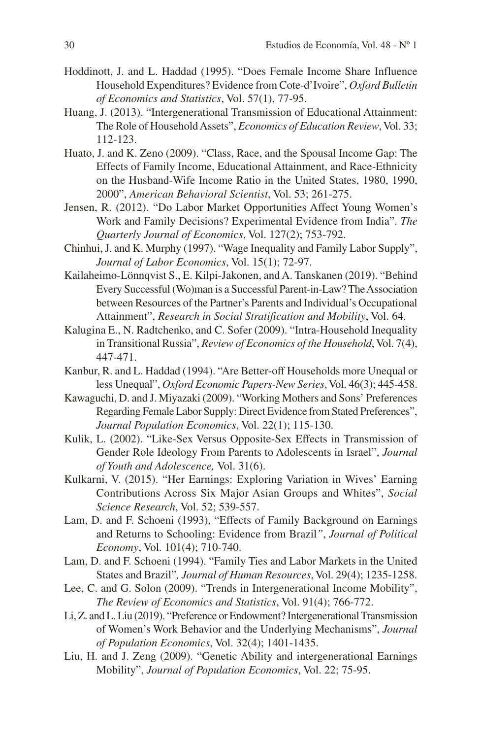- Hoddinott, J. and L. Haddad (1995). "Does Female Income Share Influence Household Expenditures? Evidence from Cote-d'Ivoire", *Oxford Bulletin of Economics and Statistics*, Vol. 57(1), 77-95.
- Huang, J. (2013). "Intergenerational Transmission of Educational Attainment: The Role of Household Assets", *Economics of Education Review*, Vol. 33; 112-123.
- Huato, J. and K. Zeno (2009). "Class, Race, and the Spousal Income Gap: The Effects of Family Income, Educational Attainment, and Race-Ethnicity on the Husband-Wife Income Ratio in the United States, 1980, 1990, 2000", *American Behavioral Scientist*, Vol. 53; 261-275.
- Jensen, R. (2012). "Do Labor Market Opportunities Affect Young Women's Work and Family Decisions? Experimental Evidence from India". *The Quarterly Journal of Economics*, Vol. 127(2); 753-792.
- Chinhui, J. and K. Murphy (1997). "Wage Inequality and Family Labor Supply", *Journal of Labor Economics*, Vol. 15(1); 72-97.
- Kailaheimo-Lönnqvist S., E. Kilpi-Jakonen, and A. Tanskanen (2019). "Behind Every Successful (Wo)man is a Successful Parent-in-Law? The Association between Resources of the Partner's Parents and Individual's Occupational Attainment", *Research in Social Stratification and Mobility*, Vol. 64.
- Kalugina E., N. Radtchenko, and C. Sofer (2009). "Intra-Household Inequality in Transitional Russia", *Review of Economics of the Household*, Vol. 7(4), 447-471.
- Kanbur, R. and L. Haddad (1994). "Are Better-off Households more Unequal or less Unequal", *Oxford Economic Papers-New Series*, Vol. 46(3); 445-458.
- Kawaguchi, D. and J. Miyazaki (2009). "Working Mothers and Sons' Preferences Regarding Female Labor Supply: Direct Evidence from Stated Preferences", *Journal Population Economics*, Vol. 22(1); 115-130.
- Kulik, L. (2002). "Like-Sex Versus Opposite-Sex Effects in Transmission of Gender Role Ideology From Parents to Adolescents in Israel", *Journal of Youth and Adolescence,* Vol. 31(6).
- Kulkarni, V. (2015). "Her Earnings: Exploring Variation in Wives' Earning Contributions Across Six Major Asian Groups and Whites", *Social Science Research*, Vol. 52; 539-557.
- Lam, D. and F. Schoeni (1993), "Effects of Family Background on Earnings and Returns to Schooling: Evidence from Brazil*"*, *Journal of Political Economy*, Vol. 101(4); 710-740.
- Lam, D. and F. Schoeni (1994). "Family Ties and Labor Markets in the United States and Brazil"*, Journal of Human Resources*, Vol. 29(4); 1235-1258.
- Lee, C. and G. Solon (2009). "Trends in Intergenerational Income Mobility", *The Review of Economics and Statistics*, Vol. 91(4); 766-772.
- Li, Z. and L. Liu (2019). "Preference or Endowment? Intergenerational Transmission of Women's Work Behavior and the Underlying Mechanisms", *Journal of Population Economics*, Vol. 32(4); 1401-1435.
- Liu, H. and J. Zeng (2009). "Genetic Ability and intergenerational Earnings Mobility", *Journal of Population Economics*, Vol. 22; 75-95.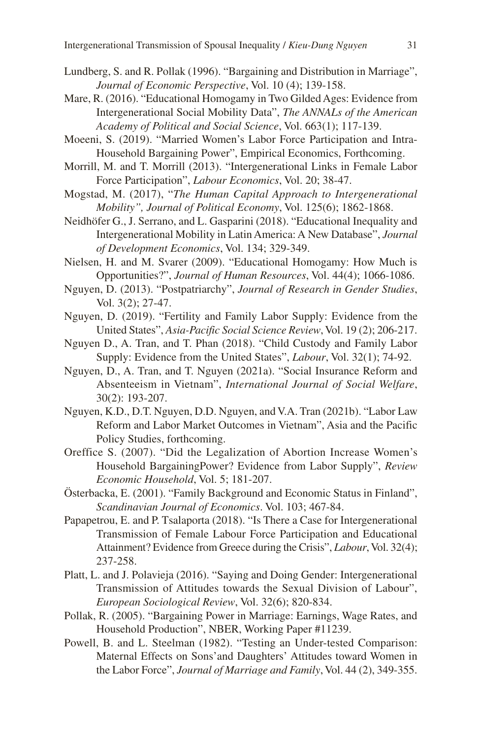- Lundberg, S. and R. Pollak (1996). "Bargaining and Distribution in Marriage", *Journal of Economic Perspective*, Vol. 10 (4); 139-158.
- Mare, R. (2016). "Educational Homogamy in Two Gilded Ages: Evidence from Intergenerational Social Mobility Data", *The ANNALs of the American Academy of Political and Social Science*, Vol. 663(1); 117-139.
- Moeeni, S. (2019). "Married Women's Labor Force Participation and Intra-Household Bargaining Power", Empirical Economics, Forthcoming.
- Morrill, M. and T. Morrill (2013). "Intergenerational Links in Female Labor Force Participation", *Labour Economics*, Vol. 20; 38-47.
- Mogstad, M. (2017), "*The Human Capital Approach to Intergenerational Mobility", Journal of Political Economy*, Vol. 125(6); 1862-1868.
- Neidhöfer G., J. Serrano, and L. Gasparini (2018). "Educational Inequality and Intergenerational Mobility in Latin America: A New Database", *Journal of Development Economics*, Vol. 134; 329-349.
- Nielsen, H. and M. Svarer (2009). "Educational Homogamy: How Much is Opportunities?", *Journal of Human Resources*, Vol. 44(4); 1066-1086.
- Nguyen, D. (2013). "Postpatriarchy", *Journal of Research in Gender Studies*, Vol. 3(2); 27-47.
- Nguyen, D. (2019). "Fertility and Family Labor Supply: Evidence from the United States", *Asia-Pacific Social Science Review*, Vol. 19 (2); 206-217.
- Nguyen D., A. Tran, and T. Phan (2018). "Child Custody and Family Labor Supply: Evidence from the United States", *Labour*, Vol. 32(1); 74-92.
- Nguyen, D., A. Tran, and T. Nguyen (2021a). "Social Insurance Reform and Absenteeism in Vietnam", *International Journal of Social Welfare*, 30(2): 193-207.
- Nguyen, K.D., D.T. Nguyen, D.D. Nguyen, and V.A. Tran (2021b). "Labor Law Reform and Labor Market Outcomes in Vietnam", Asia and the Pacific Policy Studies, forthcoming.
- Oreffice S. (2007). "Did the Legalization of Abortion Increase Women's Household BargainingPower? Evidence from Labor Supply", *Review Economic Household*, Vol. 5; 181-207.
- Österbacka, E. (2001). "Family Background and Economic Status in Finland", *Scandinavian Journal of Economics*. Vol. 103; 467-84.
- Papapetrou, E. and P. Tsalaporta (2018). "Is There a Case for Intergenerational Transmission of Female Labour Force Participation and Educational Attainment? Evidence from Greece during the Crisis", *Labour*, Vol. 32(4); 237-258.
- Platt, L. and J. Polavieja (2016). "Saying and Doing Gender: Intergenerational Transmission of Attitudes towards the Sexual Division of Labour", *European Sociological Review*, Vol. 32(6); 820-834.
- Pollak, R. (2005). "Bargaining Power in Marriage: Earnings, Wage Rates, and Household Production", NBER, Working Paper #11239.
- Powell, B. and L. Steelman (1982). "Testing an Under-tested Comparison: Maternal Effects on Sons'and Daughters' Attitudes toward Women in the Labor Force", *Journal of Marriage and Family*, Vol. 44 (2), 349-355.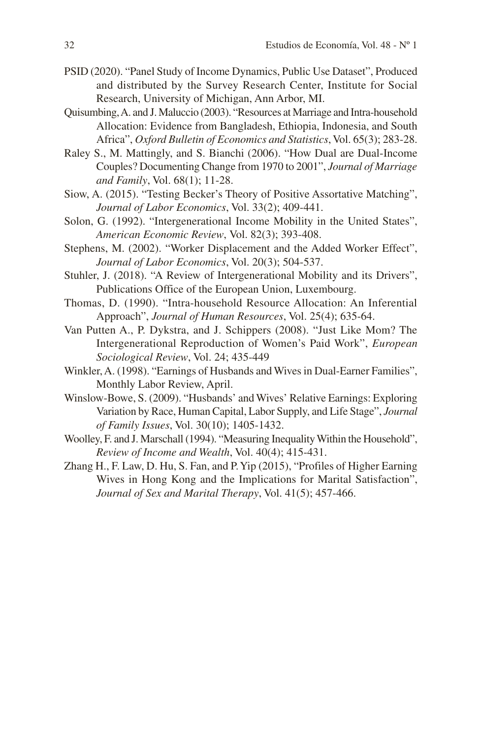- PSID (2020). "Panel Study of Income Dynamics, Public Use Dataset", Produced and distributed by the Survey Research Center, Institute for Social Research, University of Michigan, Ann Arbor, MI.
- Quisumbing, A. and J. Maluccio (2003). "Resources at Marriage and Intra-household Allocation: Evidence from Bangladesh, Ethiopia, Indonesia, and South Africa", *Oxford Bulletin of Economics and Statistics*, Vol. 65(3); 283-28.
- Raley S., M. Mattingly, and S. Bianchi (2006). "How Dual are Dual-Income Couples? Documenting Change from 1970 to 2001", *Journal of Marriage and Family*, Vol. 68(1); 11-28.
- Siow, A. (2015). "Testing Becker's Theory of Positive Assortative Matching", *Journal of Labor Economics*, Vol. 33(2); 409-441.
- Solon, G. (1992). "Intergenerational Income Mobility in the United States", *American Economic Review*, Vol. 82(3); 393-408.
- Stephens, M. (2002). "Worker Displacement and the Added Worker Effect", *Journal of Labor Economics*, Vol. 20(3); 504-537.
- Stuhler, J. (2018). "A Review of Intergenerational Mobility and its Drivers", Publications Office of the European Union, Luxembourg.
- Thomas, D. (1990). "Intra-household Resource Allocation: An Inferential Approach", *Journal of Human Resources*, Vol. 25(4); 635-64.
- Van Putten A., P. Dykstra, and J. Schippers (2008). "Just Like Mom? The Intergenerational Reproduction of Women's Paid Work", *European Sociological Review*, Vol. 24; 435-449
- Winkler, A. (1998). "Earnings of Husbands and Wives in Dual-Earner Families", Monthly Labor Review, April.
- Winslow-Bowe, S. (2009). "Husbands' and Wives' Relative Earnings: Exploring Variation by Race, Human Capital, Labor Supply, and Life Stage", *Journal of Family Issues*, Vol. 30(10); 1405-1432.
- Woolley, F. and J. Marschall (1994). "Measuring Inequality Within the Household", *Review of Income and Wealth*, Vol. 40(4); 415-431.
- Zhang H., F. Law, D. Hu, S. Fan, and P. Yip (2015), "Profiles of Higher Earning Wives in Hong Kong and the Implications for Marital Satisfaction", *Journal of Sex and Marital Therapy*, Vol. 41(5); 457-466.